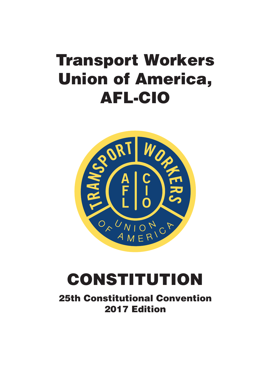# **Transport Workers Union of America, AFL-CIO**



## **CONSTITUTION**

**25th Constitutional Convention 2017 Edition**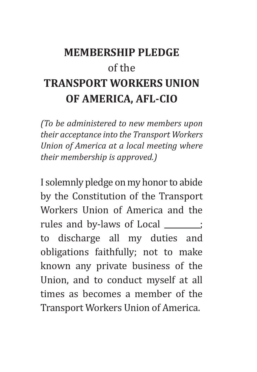### **MEMBERSHIP PLEDGE** of the **TRANSPORT WORKERS UNION OF AMERICA, AFL-CIO**

*(To be administered to new members upon their acceptance into the Transport Workers Union of America at a local meeting where their membership is approved.)*

I solemnly pledge on my honor to abide by the Constitution of the Transport Workers Union of America and the rules and by-laws of Local **incres-**; to discharge all my duties and obligations faithfully; not to make known any private business of the Union, and to conduct myself at all times as becomes a member of the Transport Workers Union of America.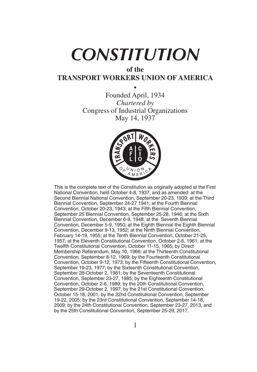# *CONSTITUTION*

#### **of the TRANSPORT WORKERS UNION OF AMERICA**

• Founded April, 1934 *Chartered by* Congress of Industrial Organizations May 14, 1937



This is the complete text of the Constitution as originally adopted at the First National Convention, held October 4-8, 1937, and as amended: at the Second Biennial National Convention, September 20-23, 1939; at the Third Biennial Convention, September 24-27 1941; at the Fourth Biennial Convention, October 20-23, 1943; at the Fifth Biennial Convention, September 25 Biennial Convention, September 25-28, 1946; at the Sixth Biennial Convention, December 6-9, 1948, at the Seventh Biennial Convention, December 5-9, 1950; at the Eighth Biennial the Eighth Biennial Convention, December 9-13, 1952; at the Ninth Biennial Convention, February 14-19, 1955; at the Tenth Biennial Convention, October 21-25, 1957; at the Eleventh Constitutional Convention, October 2-6, 1961; at the Twelfth Constitutional Convention, October 11-15, 1965; by Direct Membership Referendum, May 10, 1966; at the Thirteenth Constitutional Convention, September 8-12, 1969; by the Fourteenth Constitutional Convention, October 9-12, 1973; by the Fifteenth Constitutional Convention, September 19-23, 1977; by the Sixteenth Constitutional Convention, September 28-October 2, 1981; by the Seventeenth Constitutional Convention, September 23-27, 1985; by the Eighteenth Constitutional Convention, October 2-6, 1989; by the 20th Constitutional Convention, September 29-October 2, 1997; by the 21st Constitutional Convention, October 15-18, 2001; by the 22nd Constitutional Convention, September 19-22, 2005; by the 23rd Constitutional Convention, September 14-18, 2009; by the 24th Constitutional Convention, September 23-27, 2013, and by the 25th Constitutional Convention, September 25-29, 2017.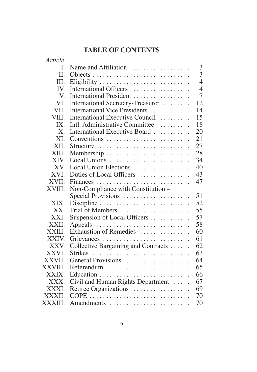#### **TABLE OF CONTENTS**

| Article     |                                                       |                |
|-------------|-------------------------------------------------------|----------------|
| L           | Name and Affiliation $\dots\dots\dots\dots\dots\dots$ | 3              |
| H.          |                                                       | 3              |
| III.        | Eligibility                                           | $\overline{4}$ |
| IV.         | International Officers                                | $\overline{4}$ |
| V.          | International President                               | $\overline{7}$ |
| VI.         | International Secretary-Treasurer                     | 12             |
| VII.        | International Vice Presidents                         | 14             |
| VIII.       | International Executive Council                       | 15             |
| IX.         | Intl. Administrative Committee                        | 18             |
| $X_{\cdot}$ | International Executive Board                         | 20             |
| XL          |                                                       | 21             |
| XII.        |                                                       | 27             |
| XIII.       |                                                       | 28             |
| XIV.        | Local Unions                                          | 34             |
| XV.         | Local Union Elections                                 | 40             |
| XVI.        | Duties of Local Officers                              | 43             |
| XVII.       |                                                       | 47             |
| XVIII.      | Non-Compliance with Constitution -                    |                |
|             | Special Provisions                                    | 51             |
| XIX.        |                                                       | 52             |
| XX.         | Trial of Members                                      | 55             |
| XXI.        | Suspension of Local Officers                          | 57             |
| XXII.       |                                                       | 58             |
| XXIII.      | Exhaustion of Remedies                                | 60             |
| XXIV.       | Grievances                                            | 61             |
| XXV.        | Collective Bargaining and Contracts                   | 62             |
| XXVI.       | <b>Strikes</b>                                        | 63             |
| XXVII.      |                                                       | 64             |
| XXVIII.     | Referendum                                            | 65             |
| XXIX.       |                                                       | 66             |
| XXX.        | Civil and Human Rights Department                     | 67             |
| XXXI.       | Retiree Organizations                                 | 69             |
| XXXII.      |                                                       | 70             |
| XXXIII.     | Amendments                                            | 70             |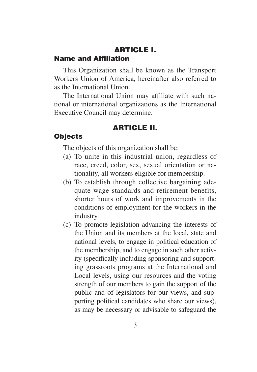#### **ARTICLE I. Name and Affiliation**

This Organization shall be known as the Transport Workers Union of America, hereinafter also referred to as the International Union.

The International Union may affiliate with such national or international organizations as the International Executive Council may determine.

#### **ARTICLE II.**

#### **Objects**

The objects of this organization shall be:

- (a) To unite in this industrial union, regardless of race, creed, color, sex, sexual orientation or nationality, all workers eligible for membership.
- (b) To establish through collective bargaining adequate wage standards and retirement benefits, shorter hours of work and improvements in the conditions of employment for the workers in the industry.
- (c) To promote legislation advancing the interests of the Union and its members at the local, state and national levels, to engage in political education of the membership, and to engage in such other activity (specifically including sponsoring and supporting grassroots programs at the International and Local levels, using our resources and the voting strength of our members to gain the support of the public and of legislators for our views, and supporting political candidates who share our views), as may be necessary or advisable to safeguard the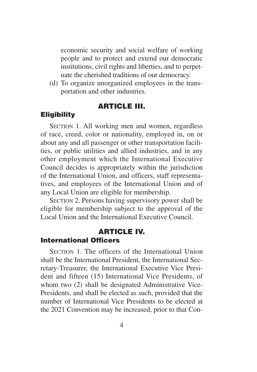economic security and social welfare of working people and to protect and extend our democratic institutions, civil rights and liberties, and to perpetuate the cherished traditions of our democracy.

(d) To organize unorganized employees in the transportation and other industries.

#### **ARTICLE III.**

#### **Eligibility**

SECTION 1. All working men and women, regardless of race, creed, color or nationality, employed in, on or about any and all passenger or other transportation facilities, or public utilities and allied industries, and in any other employment which the International Executive Council decides is appropriately within the jurisdiction of the International Union, and officers, staff representatives, and employees of the International Union and of any Local Union are eligible for membership.

SECTION 2. Persons having supervisory power shall be eligible for membership subject to the approval of the Local Union and the International Executive Council.

#### **ARTICLE IV.**

#### **International Officers**

SECTION 1. The officers of the International Union shall be the International President, the International Secretary-Treasurer, the International Executive Vice President and fifteen (15) International Vice Presidents, of whom two (2) shall be designated Administrative Vice-Presidents, and shall be elected as such, provided that the number of International Vice Presidents to be elected at the 2021 Convention may be increased, prior to that Con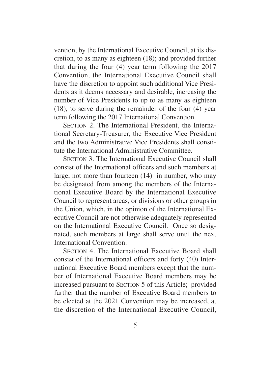vention, by the International Executive Council, at its discretion, to as many as eighteen (18); and provided further that during the four (4) year term following the 2017 Convention, the International Executive Council shall have the discretion to appoint such additional Vice Presidents as it deems necessary and desirable, increasing the number of Vice Presidents to up to as many as eighteen (18), to serve during the remainder of the four (4) year term following the 2017 International Convention.

SECTION 2. The International President, the International Secretary-Treasurer, the Executive Vice President and the two Administrative Vice Presidents shall constitute the International Administrative Committee.

SECTION 3. The International Executive Council shall consist of the International officers and such members at large, not more than fourteen (14) in number, who may be designated from among the members of the International Executive Board by the International Executive Council to represent areas, or divisions or other groups in the Union, which, in the opinion of the International Executive Council are not otherwise adequately represented on the International Executive Council. Once so designated, such members at large shall serve until the next International Convention.

SECTION 4. The International Executive Board shall consist of the International officers and forty (40) International Executive Board members except that the number of International Executive Board members may be increased pursuant to SECTION 5 of this Article; provided further that the number of Executive Board members to be elected at the 2021 Convention may be increased, at the discretion of the International Executive Council,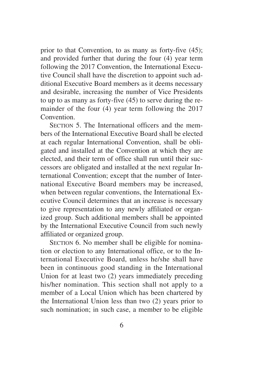prior to that Convention, to as many as forty-five (45); and provided further that during the four (4) year term following the 2017 Convention, the International Executive Council shall have the discretion to appoint such additional Executive Board members as it deems necessary and desirable, increasing the number of Vice Presidents to up to as many as forty-five (45) to serve during the remainder of the four (4) year term following the 2017 **Convention** 

SECTION 5. The International officers and the members of the International Executive Board shall be elected at each regular International Convention, shall be obligated and installed at the Convention at which they are elected, and their term of office shall run until their successors are obligated and installed at the next regular International Convention; except that the number of International Executive Board members may be increased, when between regular conventions, the International Executive Council determines that an increase is necessary to give representation to any newly affiliated or organized group. Such additional members shall be appointed by the International Executive Council from such newly affiliated or organized group.

SECTION 6. No member shall be eligible for nomination or election to any International office, or to the International Executive Board, unless he/she shall have been in continuous good standing in the International Union for at least two (2) years immediately preceding his/her nomination. This section shall not apply to a member of a Local Union which has been chartered by the International Union less than two (2) years prior to such nomination; in such case, a member to be eligible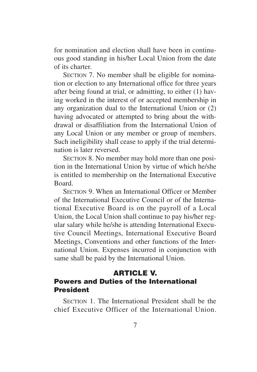for nomination and election shall have been in continuous good standing in his/her Local Union from the date of its charter.

SECTION 7. No member shall be eligible for nomination or election to any International office for three years after being found at trial, or admitting, to either (1) having worked in the interest of or accepted membership in any organization dual to the International Union or (2) having advocated or attempted to bring about the withdrawal or disaffiliation from the International Union of any Local Union or any member or group of members. Such ineligibility shall cease to apply if the trial determination is later reversed.

SECTION 8. No member may hold more than one position in the International Union by virtue of which he/she is entitled to membership on the International Executive Board.

SECTION 9. When an International Officer or Member of the International Executive Council or of the International Executive Board is on the payroll of a Local Union, the Local Union shall continue to pay his/her regular salary while he/she is attending International Executive Council Meetings, International Executive Board Meetings, Conventions and other functions of the International Union. Expenses incurred in conjunction with same shall be paid by the International Union.

#### **ARTICLE V.**

#### **Powers and Duties of the International President**

SECTION 1. The International President shall be the chief Executive Officer of the International Union.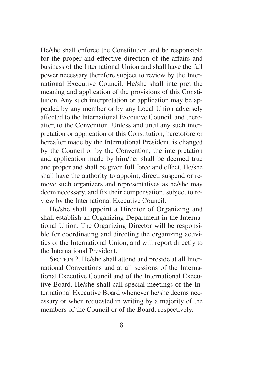He/she shall enforce the Constitution and be responsible for the proper and effective direction of the affairs and business of the International Union and shall have the full power necessary therefore subject to review by the International Executive Council. He/she shall interpret the meaning and application of the provisions of this Constitution. Any such interpretation or application may be appealed by any member or by any Local Union adversely affected to the International Executive Council, and thereafter, to the Convention. Unless and until any such interpretation or application of this Constitution, heretofore or hereafter made by the International President, is changed by the Council or by the Convention, the interpretation and application made by him/her shall be deemed true and proper and shall be given full force and effect. He/she shall have the authority to appoint, direct, suspend or remove such organizers and representatives as he/she may deem necessary, and fix their compensation, subject to review by the International Executive Council.

He/she shall appoint a Director of Organizing and shall establish an Organizing Department in the International Union. The Organizing Director will be responsible for coordinating and directing the organizing activities of the International Union, and will report directly to the International President.

SECTION 2. He/she shall attend and preside at all International Conventions and at all sessions of the International Executive Council and of the International Executive Board. He/she shall call special meetings of the International Executive Board whenever he/she deems necessary or when requested in writing by a majority of the members of the Council or of the Board, respectively.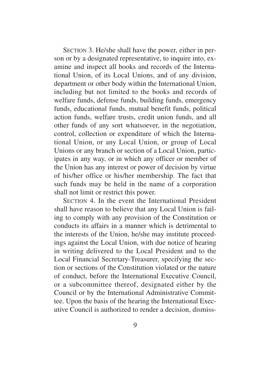SECTION 3. He/she shall have the power, either in person or by a designated representative, to inquire into, examine and inspect all books and records of the International Union, of its Local Unions, and of any division, department or other body within the International Union, including but not limited to the books and records of welfare funds, defense funds, building funds, emergency funds, educational funds, mutual benefit funds, political action funds, welfare trusts, credit union funds, and all other funds of any sort whatsoever, in the negotiation, control, collection or expenditure of which the International Union, or any Local Union, or group of Local Unions or any branch or section of a Local Union, participates in any way, or in which any officer or member of the Union has any interest or power of decision by virtue of his/her office or his/her membership. The fact that such funds may be held in the name of a corporation shall not limit or restrict this power.

SECTION 4. In the event the International President shall have reason to believe that any Local Union is failing to comply with any provision of the Constitution or conducts its affairs in a manner which is detrimental to the interests of the Union, he/she may institute proceedings against the Local Union, with due notice of hearing in writing delivered to the Local President and to the Local Financial Secretary-Treasurer, specifying the section or sections of the Constitution violated or the nature of conduct, before the International Executive Council, or a subcommittee thereof, designated either by the Council or by the International Administrative Committee. Upon the basis of the hearing the International Executive Council is authorized to render a decision, dismiss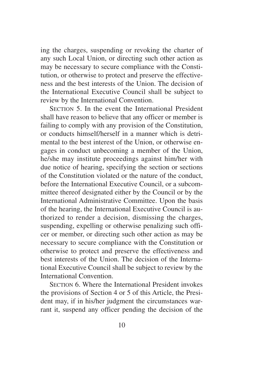ing the charges, suspending or revoking the charter of any such Local Union, or directing such other action as may be necessary to secure compliance with the Constitution, or otherwise to protect and preserve the effectiveness and the best interests of the Union. The decision of the International Executive Council shall be subject to review by the International Convention.

SECTION 5. In the event the International President shall have reason to believe that any officer or member is failing to comply with any provision of the Constitution, or conducts himself/herself in a manner which is detrimental to the best interest of the Union, or otherwise engages in conduct unbecoming a member of the Union, he/she may institute proceedings against him/her with due notice of hearing, specifying the section or sections of the Constitution violated or the nature of the conduct, before the International Executive Council, or a subcommittee thereof designated either by the Council or by the International Administrative Committee. Upon the basis of the hearing, the International Executive Council is authorized to render a decision, dismissing the charges, suspending, expelling or otherwise penalizing such officer or member, or directing such other action as may be necessary to secure compliance with the Constitution or otherwise to protect and preserve the effectiveness and best interests of the Union. The decision of the International Executive Council shall be subject to review by the International Convention.

SECTION 6. Where the International President invokes the provisions of Section 4 or 5 of this Article, the President may, if in his/her judgment the circumstances warrant it, suspend any officer pending the decision of the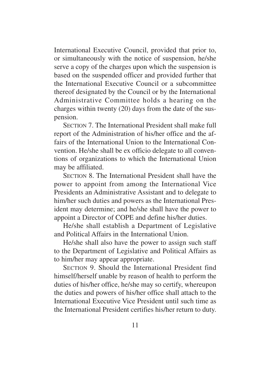International Executive Council, provided that prior to, or simultaneously with the notice of suspension, he/she serve a copy of the charges upon which the suspension is based on the suspended officer and provided further that the International Executive Council or a subcommittee thereof designated by the Council or by the International Administrative Committee holds a hearing on the charges within twenty (20) days from the date of the suspension.

SECTION 7. The International President shall make full report of the Administration of his/her office and the affairs of the International Union to the International Convention. He/she shall be ex officio delegate to all conventions of organizations to which the International Union may be affiliated.

SECTION 8. The International President shall have the power to appoint from among the International Vice Presidents an Administrative Assistant and to delegate to him/her such duties and powers as the International President may determine; and he/she shall have the power to appoint a Director of COPE and define his/her duties.

He/she shall establish a Department of Legislative and Political Affairs in the International Union.

He/she shall also have the power to assign such staff to the Department of Legislative and Political Affairs as to him/her may appear appropriate.

SECTION 9. Should the International President find himself/herself unable by reason of health to perform the duties of his/her office, he/she may so certify, whereupon the duties and powers of his/her office shall attach to the International Executive Vice President until such time as the International President certifies his/her return to duty.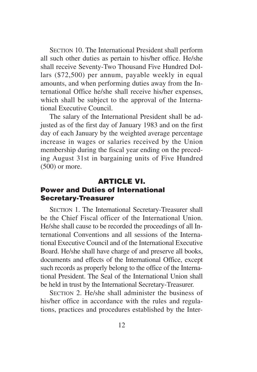SECTION 10. The International President shall perform all such other duties as pertain to his/her office. He/she shall receive Seventy-Two Thousand Five Hundred Dollars (\$72,500) per annum, payable weekly in equal amounts, and when performing duties away from the International Office he/she shall receive his/her expenses, which shall be subject to the approval of the International Executive Council.

The salary of the International President shall be adjusted as of the first day of January 1983 and on the first day of each January by the weighted average percentage increase in wages or salaries received by the Union membership during the fiscal year ending on the preceding August 31st in bargaining units of Five Hundred (500) or more.

#### **ARTICLE VI. Power and Duties of International Secretary-Treasurer**

SECTION 1. The International Secretary-Treasurer shall be the Chief Fiscal officer of the International Union. He/she shall cause to be recorded the proceedings of all International Conventions and all sessions of the International Executive Council and of the International Executive Board. He/she shall have charge of and preserve all books, documents and effects of the International Office, except such records as properly belong to the office of the International President. The Seal of the International Union shall be held in trust by the International Secretary-Treasurer.

SECTION 2. He/she shall administer the business of his/her office in accordance with the rules and regulations, practices and procedures established by the Inter-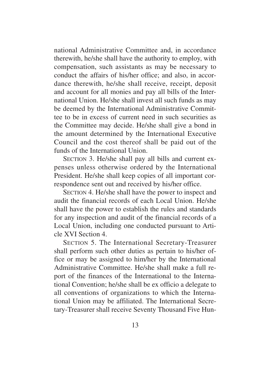national Administrative Committee and, in accordance therewith, he/she shall have the authority to employ, with compensation, such assistants as may be necessary to conduct the affairs of his/her office; and also, in accordance therewith, he/she shall receive, receipt, deposit and account for all monies and pay all bills of the International Union. He/she shall invest all such funds as may be deemed by the International Administrative Committee to be in excess of current need in such securities as the Committee may decide. He/she shall give a bond in the amount determined by the International Executive Council and the cost thereof shall be paid out of the funds of the International Union.

SECTION 3. He/she shall pay all bills and current expenses unless otherwise ordered by the International President. He/she shall keep copies of all important correspondence sent out and received by his/her office.

SECTION 4. He/she shall have the power to inspect and audit the financial records of each Local Union. He/she shall have the power to establish the rules and standards for any inspection and audit of the financial records of a Local Union, including one conducted pursuant to Article XVI Section 4.

SECTION 5. The International Secretary-Treasurer shall perform such other duties as pertain to his/her office or may be assigned to him/her by the International Administrative Committee. He/she shall make a full report of the finances of the International to the International Convention; he/she shall be ex officio a delegate to all conventions of organizations to which the International Union may be affiliated. The International Secretary-Treasurer shall receive Seventy Thousand Five Hun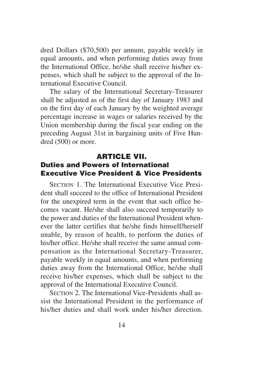dred Dollars (\$70,500) per annum, payable weekly in equal amounts, and when performing duties away from the International Office, he/she shall receive his/her expenses, which shall be subject to the approval of the International Executive Council.

The salary of the International Secretary-Treasurer shall be adjusted as of the first day of January 1983 and on the first day of each January by the weighted average percentage increase in wages or salaries received by the Union membership during the fiscal year ending on the preceding August 31st in bargaining units of Five Hundred (500) or more.

#### **ARTICLE VII. Duties and Powers of International Executive Vice President & Vice Presidents**

SECTION 1. The International Executive Vice President shall succeed to the office of International President for the unexpired term in the event that such office becomes vacant. He/she shall also succeed temporarily to the power and duties of the International President whenever the latter certifies that he/she finds himself/herself unable, by reason of health, to perform the duties of his/her office. He/she shall receive the same annual compensation as the International Secretary-Treasurer, payable weekly in equal amounts, and when performing duties away from the International Office, he/she shall receive his/her expenses, which shall be subject to the approval of the International Executive Council.

SECTION 2. The International Vice-Presidents shall assist the International President in the performance of his/her duties and shall work under his/her direction.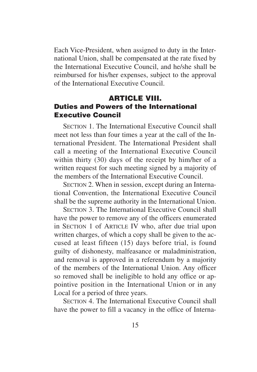Each Vice-President, when assigned to duty in the International Union, shall be compensated at the rate fixed by the International Executive Council, and he/she shall be reimbursed for his/her expenses, subject to the approval of the International Executive Council.

#### **ARTICLE VIII. Duties and Powers of the International Executive Council**

SECTION 1. The International Executive Council shall meet not less than four times a year at the call of the International President. The International President shall call a meeting of the International Executive Council within thirty (30) days of the receipt by him/her of a written request for such meeting signed by a majority of the members of the International Executive Council.

SECTION 2. When in session, except during an International Convention, the International Executive Council shall be the supreme authority in the International Union.

SECTION 3. The International Executive Council shall have the power to remove any of the officers enumerated in SECTION 1 of ARTICLE IV who, after due trial upon written charges, of which a copy shall be given to the accused at least fifteen (15) days before trial, is found guilty of dishonesty, malfeasance or maladministration, and removal is approved in a referendum by a majority of the members of the International Union. Any officer so removed shall be ineligible to hold any office or appointive position in the International Union or in any Local for a period of three years.

SECTION 4. The International Executive Council shall have the power to fill a vacancy in the office of Interna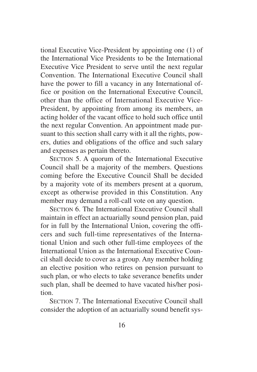tional Executive Vice-President by appointing one (1) of the International Vice Presidents to be the International Executive Vice President to serve until the next regular Convention. The International Executive Council shall have the power to fill a vacancy in any International office or position on the International Executive Council, other than the office of International Executive Vice-President, by appointing from among its members, an acting holder of the vacant office to hold such office until the next regular Convention. An appointment made pursuant to this section shall carry with it all the rights, powers, duties and obligations of the office and such salary and expenses as pertain thereto.

SECTION 5. A quorum of the International Executive Council shall be a majority of the members. Questions coming before the Executive Council Shall be decided by a majority vote of its members present at a quorum, except as otherwise provided in this Constitution. Any member may demand a roll-call vote on any question.

SECTION 6. The International Executive Council shall maintain in effect an actuarially sound pension plan, paid for in full by the International Union, covering the officers and such full-time representatives of the International Union and such other full-time employees of the International Union as the International Executive Council shall decide to cover as a group. Any member holding an elective position who retires on pension pursuant to such plan, or who elects to take severance benefits under such plan, shall be deemed to have vacated his/her position.

SECTION 7. The International Executive Council shall consider the adoption of an actuarially sound benefit sys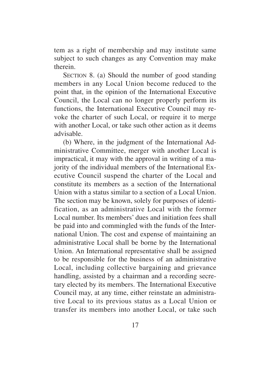tem as a right of membership and may institute same subject to such changes as any Convention may make therein.

SECTION 8. (a) Should the number of good standing members in any Local Union become reduced to the point that, in the opinion of the International Executive Council, the Local can no longer properly perform its functions, the International Executive Council may revoke the charter of such Local, or require it to merge with another Local, or take such other action as it deems advisable.

(b) Where, in the judgment of the International Administrative Committee, merger with another Local is impractical, it may with the approval in writing of a majority of the individual members of the International Executive Council suspend the charter of the Local and constitute its members as a section of the International Union with a status similar to a section of a Local Union. The section may be known, solely for purposes of identification, as an administrative Local with the former Local number. Its members' dues and initiation fees shall be paid into and commingled with the funds of the International Union. The cost and expense of maintaining an administrative Local shall be borne by the International Union. An International representative shall be assigned to be responsible for the business of an administrative Local, including collective bargaining and grievance handling, assisted by a chairman and a recording secretary elected by its members. The International Executive Council may, at any time, either reinstate an administrative Local to its previous status as a Local Union or transfer its members into another Local, or take such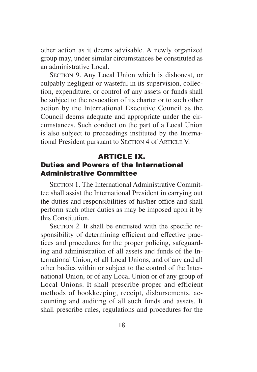other action as it deems advisable. A newly organized group may, under similar circumstances be constituted as an administrative Local.

SECTION 9. Any Local Union which is dishonest, or culpably negligent or wasteful in its supervision, collection, expenditure, or control of any assets or funds shall be subject to the revocation of its charter or to such other action by the International Executive Council as the Council deems adequate and appropriate under the circumstances. Such conduct on the part of a Local Union is also subject to proceedings instituted by the International President pursuant to SECTION 4 of ARTICLE V.

#### **ARTICLE IX. Duties and Powers of the International Administrative Committee**

SECTION 1. The International Administrative Committee shall assist the International President in carrying out the duties and responsibilities of his/her office and shall perform such other duties as may be imposed upon it by this Constitution.

SECTION 2. It shall be entrusted with the specific responsibility of determining efficient and effective practices and procedures for the proper policing, safeguarding and administration of all assets and funds of the International Union, of all Local Unions, and of any and all other bodies within or subject to the control of the International Union, or of any Local Union or of any group of Local Unions. It shall prescribe proper and efficient methods of bookkeeping, receipt, disbursements, accounting and auditing of all such funds and assets. It shall prescribe rules, regulations and procedures for the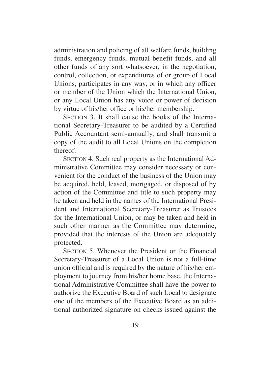administration and policing of all welfare funds, building funds, emergency funds, mutual benefit funds, and all other funds of any sort whatsoever, in the negotiation, control, collection, or expenditures of or group of Local Unions, participates in any way, or in which any officer or member of the Union which the International Union, or any Local Union has any voice or power of decision by virtue of his/her office or his/her membership.

SECTION 3. It shall cause the books of the International Secretary-Treasurer to be audited by a Certified Public Accountant semi-annually, and shall transmit a copy of the audit to all Local Unions on the completion thereof.

SECTION 4. Such real property as the International Administrative Committee may consider necessary or convenient for the conduct of the business of the Union may be acquired, held, leased, mortgaged, or disposed of by action of the Committee and title to such property may be taken and held in the names of the International President and International Secretary-Treasurer as Trustees for the International Union, or may be taken and held in such other manner as the Committee may determine, provided that the interests of the Union are adequately protected.

SECTION 5. Whenever the President or the Financial Secretary-Treasurer of a Local Union is not a full-time union official and is required by the nature of his/her employment to journey from his/her home base, the International Administrative Committee shall have the power to authorize the Executive Board of such Local to designate one of the members of the Executive Board as an additional authorized signature on checks issued against the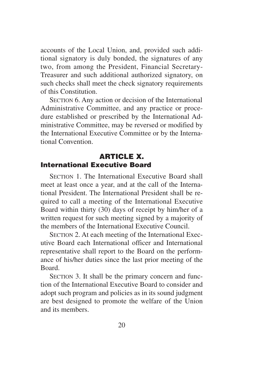accounts of the Local Union, and, provided such additional signatory is duly bonded, the signatures of any two, from among the President, Financial Secretary-Treasurer and such additional authorized signatory, on such checks shall meet the check signatory requirements of this Constitution.

SECTION 6. Any action or decision of the International Administrative Committee, and any practice or procedure established or prescribed by the International Administrative Committee, may be reversed or modified by the International Executive Committee or by the International Convention.

#### **ARTICLE X. International Executive Board**

SECTION 1. The International Executive Board shall meet at least once a year, and at the call of the International President. The International President shall be required to call a meeting of the International Executive Board within thirty (30) days of receipt by him/her of a written request for such meeting signed by a majority of the members of the International Executive Council.

SECTION 2. At each meeting of the International Executive Board each International officer and International representative shall report to the Board on the performance of his/her duties since the last prior meeting of the Board.

SECTION 3. It shall be the primary concern and function of the International Executive Board to consider and adopt such program and policies as in its sound judgment are best designed to promote the welfare of the Union and its members.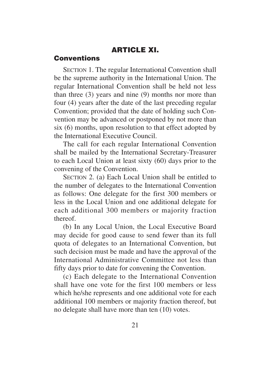#### **ARTICLE XI.**

#### **Conventions**

SECTION 1. The regular International Convention shall be the supreme authority in the International Union. The regular International Convention shall be held not less than three (3) years and nine (9) months nor more than four (4) years after the date of the last preceding regular Convention; provided that the date of holding such Convention may be advanced or postponed by not more than six (6) months, upon resolution to that effect adopted by the International Executive Council.

The call for each regular International Convention shall be mailed by the International Secretary-Treasurer to each Local Union at least sixty (60) days prior to the convening of the Convention.

SECTION 2. (a) Each Local Union shall be entitled to the number of delegates to the International Convention as follows: One delegate for the first 300 members or less in the Local Union and one additional delegate for each additional 300 members or majority fraction thereof.

(b) In any Local Union, the Local Executive Board may decide for good cause to send fewer than its full quota of delegates to an International Convention, but such decision must be made and have the approval of the International Administrative Committee not less than fifty days prior to date for convening the Convention.

(c) Each delegate to the International Convention shall have one vote for the first 100 members or less which he/she represents and one additional vote for each additional 100 members or majority fraction thereof, but no delegate shall have more than ten (10) votes.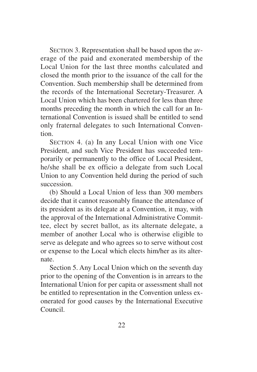SECTION 3. Representation shall be based upon the average of the paid and exonerated membership of the Local Union for the last three months calculated and closed the month prior to the issuance of the call for the Convention. Such membership shall be determined from the records of the International Secretary-Treasurer. A Local Union which has been chartered for less than three months preceding the month in which the call for an International Convention is issued shall be entitled to send only fraternal delegates to such International Convention.

SECTION 4. (a) In any Local Union with one Vice President, and such Vice President has succeeded temporarily or permanently to the office of Local President, he/she shall be ex officio a delegate from such Local Union to any Convention held during the period of such succession.

(b) Should a Local Union of less than 300 members decide that it cannot reasonably finance the attendance of its president as its delegate at a Convention, it may, with the approval of the International Administrative Committee, elect by secret ballot, as its alternate delegate, a member of another Local who is otherwise eligible to serve as delegate and who agrees so to serve without cost or expense to the Local which elects him/her as its alternate.

Section 5. Any Local Union which on the seventh day prior to the opening of the Convention is in arrears to the International Union for per capita or assessment shall not be entitled to representation in the Convention unless exonerated for good causes by the International Executive Council.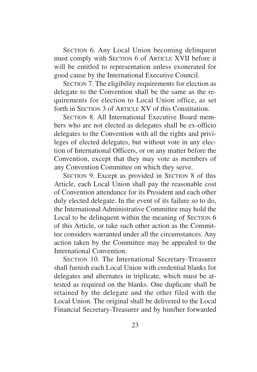SECTION 6. Any Local Union becoming delinquent must comply with SECTION 6 of ARTICLE XVII before it will be entitled to representation unless exonerated for good cause by the International Executive Council.

SECTION 7. The eligibility requirements for election as delegate to the Convention shall be the same as the requirements for election to Local Union office, as set forth in SECTION 3 of ARTICLE XV of this Constitution.

SECTION 8. All International Executive Board members who are not elected as delegates shall be ex-officio delegates to the Convention with all the rights and privileges of elected delegates, but without vote in any election of International Officers, or on any matter before the Convention, except that they may vote as members of any Convention Committee on which they serve.

SECTION 9. Except as provided in SECTION 8 of this Article, each Local Union shall pay the reasonable cost of Convention attendance for its President and each other duly elected delegate. In the event of its failure so to do, the International Administrative Committee may hold the Local to be delinquent within the meaning of SECTION 6 of this Article, or take such other action as the Committee considers warranted under all the circumstances. Any action taken by the Committee may be appealed to the International Convention.

SECTION 10. The International Secretary-Treasurer shall furnish each Local Union with credential blanks for delegates and alternates in triplicate, which must be attested as required on the blanks. One duplicate shall be retained by the delegate and the other filed with the Local Union. The original shall be delivered to the Local Financial Secretary-Treasurer and by him/her forwarded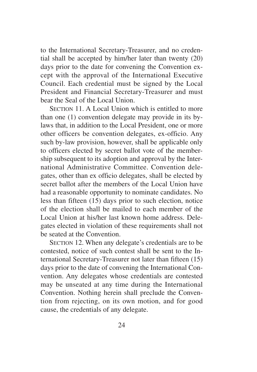to the International Secretary-Treasurer, and no credential shall be accepted by him/her later than twenty (20) days prior to the date for convening the Convention except with the approval of the International Executive Council. Each credential must be signed by the Local President and Financial Secretary-Treasurer and must bear the Seal of the Local Union.

SECTION 11. A Local Union which is entitled to more than one (1) convention delegate may provide in its bylaws that, in addition to the Local President, one or more other officers be convention delegates, ex-officio. Any such by-law provision, however, shall be applicable only to officers elected by secret ballot vote of the membership subsequent to its adoption and approval by the International Administrative Committee. Convention delegates, other than ex officio delegates, shall be elected by secret ballot after the members of the Local Union have had a reasonable opportunity to nominate candidates. No less than fifteen (15) days prior to such election, notice of the election shall be mailed to each member of the Local Union at his/her last known home address. Delegates elected in violation of these requirements shall not be seated at the Convention.

SECTION 12. When any delegate's credentials are to be contested, notice of such contest shall be sent to the International Secretary-Treasurer not later than fifteen (15) days prior to the date of convening the International Convention. Any delegates whose credentials are contested may be unseated at any time during the International Convention. Nothing herein shall preclude the Convention from rejecting, on its own motion, and for good cause, the credentials of any delegate.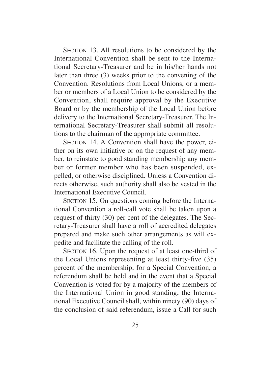SECTION 13. All resolutions to be considered by the International Convention shall be sent to the International Secretary-Treasurer and be in his/her hands not later than three (3) weeks prior to the convening of the Convention. Resolutions from Local Unions, or a member or members of a Local Union to be considered by the Convention, shall require approval by the Executive Board or by the membership of the Local Union before delivery to the International Secretary-Treasurer. The International Secretary-Treasurer shall submit all resolutions to the chairman of the appropriate committee.

SECTION 14. A Convention shall have the power, either on its own initiative or on the request of any member, to reinstate to good standing membership any member or former member who has been suspended, expelled, or otherwise disciplined. Unless a Convention directs otherwise, such authority shall also be vested in the International Executive Council.

SECTION 15. On questions coming before the International Convention a roll-call vote shall be taken upon a request of thirty (30) per cent of the delegates. The Secretary-Treasurer shall have a roll of accredited delegates prepared and make such other arrangements as will expedite and facilitate the calling of the roll.

SECTION 16. Upon the request of at least one-third of the Local Unions representing at least thirty-five (35) percent of the membership, for a Special Convention, a referendum shall be held and in the event that a Special Convention is voted for by a majority of the members of the International Union in good standing, the International Executive Council shall, within ninety (90) days of the conclusion of said referendum, issue a Call for such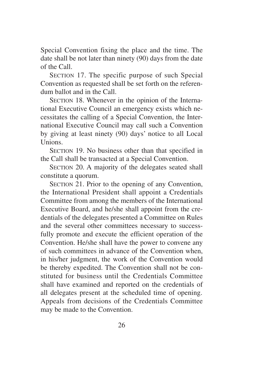Special Convention fixing the place and the time. The date shall be not later than ninety (90) days from the date of the Call.

SECTION 17. The specific purpose of such Special Convention as requested shall be set forth on the referendum ballot and in the Call.

SECTION 18. Whenever in the opinion of the International Executive Council an emergency exists which necessitates the calling of a Special Convention, the International Executive Council may call such a Convention by giving at least ninety (90) days' notice to all Local Unions.

SECTION 19. No business other than that specified in the Call shall be transacted at a Special Convention.

SECTION 20. A majority of the delegates seated shall constitute a quorum.

SECTION 21. Prior to the opening of any Convention, the International President shall appoint a Credentials Committee from among the members of the International Executive Board, and he/she shall appoint from the credentials of the delegates presented a Committee on Rules and the several other committees necessary to successfully promote and execute the efficient operation of the Convention. He/she shall have the power to convene any of such committees in advance of the Convention when, in his/her judgment, the work of the Convention would be thereby expedited. The Convention shall not be constituted for business until the Credentials Committee shall have examined and reported on the credentials of all delegates present at the scheduled time of opening. Appeals from decisions of the Credentials Committee may be made to the Convention.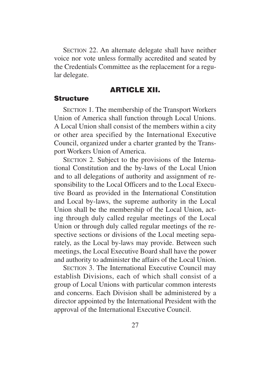SECTION 22. An alternate delegate shall have neither voice nor vote unless formally accredited and seated by the Credentials Committee as the replacement for a regular delegate.

#### **ARTICLE XII.**

#### **Structure**

SECTION 1. The membership of the Transport Workers Union of America shall function through Local Unions. A Local Union shall consist of the members within a city or other area specified by the International Executive Council, organized under a charter granted by the Transport Workers Union of America.

SECTION 2. Subject to the provisions of the International Constitution and the by-laws of the Local Union and to all delegations of authority and assignment of responsibility to the Local Officers and to the Local Executive Board as provided in the International Constitution and Local by-laws, the supreme authority in the Local Union shall be the membership of the Local Union, acting through duly called regular meetings of the Local Union or through duly called regular meetings of the respective sections or divisions of the Local meeting separately, as the Local by-laws may provide. Between such meetings, the Local Executive Board shall have the power and authority to administer the affairs of the Local Union.

SECTION 3. The International Executive Council may establish Divisions, each of which shall consist of a group of Local Unions with particular common interests and concerns. Each Division shall be administered by a director appointed by the International President with the approval of the International Executive Council.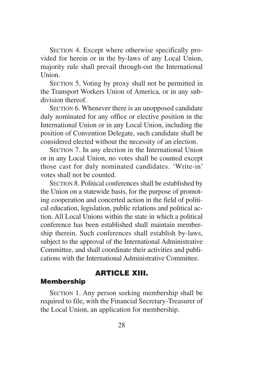SECTION 4. Except where otherwise specifically provided for herein or in the by-laws of any Local Union, majority rule shall prevail through-out the International Union.

SECTION 5. Voting by proxy shall not be permitted in the Transport Workers Union of America, or in any subdivision thereof

SECTION 6. Whenever there is an unopposed candidate duly nominated for any office or elective position in the International Union or in any Local Union, including the position of Convention Delegate, such candidate shall be considered elected without the necessity of an election.

SECTION 7. In any election in the International Union or in any Local Union, no votes shall be counted except those cast for duly nominated candidates. 'Write-in' votes shall not be counted.

SECTION 8. Political conferences shall be established by the Union on a statewide basis, for the purpose of promoting cooperation and concerted action in the field of political education, legislation, public relations and political action. All Local Unions within the state in which a political conference has been established shall maintain membership therein. Such conferences shall establish by-laws, subject to the approval of the International Administrative Committee, and shall coordinate their activities and publications with the International Administrative Committee.

#### **ARTICLE XIII.**

#### **Membership**

SECTION 1. Any person seeking membership shall be required to file, with the Financial Secretary-Treasurer of the Local Union, an application for membership.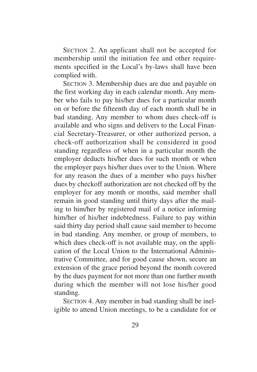SECTION 2. An applicant shall not be accepted for membership until the initiation fee and other requirements specified in the Local's by-laws shall have been complied with.

SECTION 3. Membership dues are due and payable on the first working day in each calendar month. Any member who fails to pay his/her dues for a particular month on or before the fifteenth day of each month shall be in bad standing. Any member to whom dues check-off is available and who signs and delivers to the Local Financial Secretary-Treasurer, or other authorized person, a check-off authorization shall be considered in good standing regardless of when in a particular month the employer deducts his/her dues for such month or when the employer pays his/her dues over to the Union. Where for any reason the dues of a member who pays his/her dues by checkoff authorization are not checked off by the employer for any month or months, said member shall remain in good standing until thirty days after the mailing to him/her by registered mail of a notice informing him/her of his/her indebtedness. Failure to pay within said thirty day period shall cause said member to become in bad standing. Any member, or group of members, to which dues check-off is not available may, on the application of the Local Union to the International Administrative Committee, and for good cause shown, secure an extension of the grace period beyond the month covered by the dues payment for not more than one further month during which the member will not lose his/her good standing.

SECTION 4. Any member in bad standing shall be ineligible to attend Union meetings, to be a candidate for or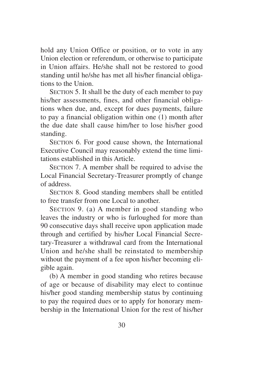hold any Union Office or position, or to vote in any Union election or referendum, or otherwise to participate in Union affairs. He/she shall not be restored to good standing until he/she has met all his/her financial obligations to the Union.

SECTION 5. It shall be the duty of each member to pay his/her assessments, fines, and other financial obligations when due, and, except for dues payments, failure to pay a financial obligation within one (1) month after the due date shall cause him/her to lose his/her good standing.

SECTION 6. For good cause shown, the International Executive Council may reasonably extend the time limitations established in this Article.

SECTION 7. A member shall be required to advise the Local Financial Secretary-Treasurer promptly of change of address.

SECTION 8. Good standing members shall be entitled to free transfer from one Local to another.

SECTION 9. (a) A member in good standing who leaves the industry or who is furloughed for more than 90 consecutive days shall receive upon application made through and certified by his/her Local Financial Secretary-Treasurer a withdrawal card from the International Union and he/she shall be reinstated to membership without the payment of a fee upon his/her becoming eligible again.

(b) A member in good standing who retires because of age or because of disability may elect to continue his/her good standing membership status by continuing to pay the required dues or to apply for honorary membership in the International Union for the rest of his/her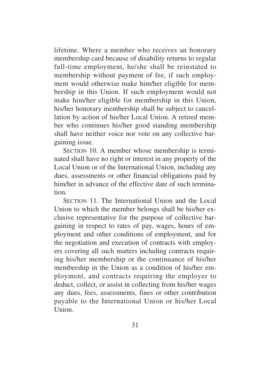lifetime. Where a member who receives an honorary membership card because of disability returns to regular full-time employment, he/she shall be reinstated to membership without payment of fee, if such employment would otherwise make him/her eligible for membership in this Union. If such employment would not make him/her eligible for membership in this Union, his/her honorary membership shall be subject to cancellation by action of his/her Local Union. A retired member who continues his/her good standing membership shall have neither voice nor vote on any collective bargaining issue.

SECTION 10. A member whose membership is terminated shall have no right or interest in any property of the Local Union or of the International Union, including any dues, assessments or other financial obligations paid by him/her in advance of the effective date of such termination.

SECTION 11. The International Union and the Local Union to which the member belongs shall be his/her exclusive representative for the purpose of collective bargaining in respect to rates of pay, wages, hours of employment and other conditions of employment, and for the negotiation and execution of contracts with employers covering all such matters including contracts requiring his/her membership or the continuance of his/her membership in the Union as a condition of his/her employment, and contracts requiring the employer to deduct, collect, or assist in collecting from his/her wages any dues, fees, assessments, fines or other contribution payable to the International Union or his/her Local  $\overline{\text{Union}}$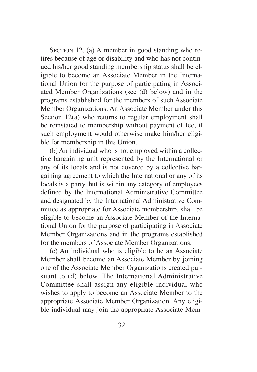SECTION 12. (a) A member in good standing who retires because of age or disability and who has not continued his/her good standing membership status shall be eligible to become an Associate Member in the International Union for the purpose of participating in Associated Member Organizations (see (d) below) and in the programs established for the members of such Associate Member Organizations. An Associate Member under this Section 12(a) who returns to regular employment shall be reinstated to membership without payment of fee, if such employment would otherwise make him/her eligible for membership in this Union.

(b) An individual who is not employed within a collective bargaining unit represented by the International or any of its locals and is not covered by a collective bargaining agreement to which the International or any of its locals is a party, but is within any category of employees defined by the International Administrative Committee and designated by the International Administrative Committee as appropriate for Associate membership, shall be eligible to become an Associate Member of the International Union for the purpose of participating in Associate Member Organizations and in the programs established for the members of Associate Member Organizations.

(c) An individual who is eligible to be an Associate Member shall become an Associate Member by joining one of the Associate Member Organizations created pursuant to (d) below. The International Administrative Committee shall assign any eligible individual who wishes to apply to become an Associate Member to the appropriate Associate Member Organization. Any eligible individual may join the appropriate Associate Mem-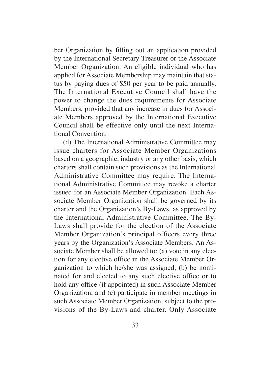ber Organization by filling out an application provided by the International Secretary Treasurer or the Associate Member Organization. An eligible individual who has applied for Associate Membership may maintain that status by paying dues of \$50 per year to be paid annually. The International Executive Council shall have the power to change the dues requirements for Associate Members, provided that any increase in dues for Associate Members approved by the International Executive Council shall be effective only until the next International Convention.

(d) The International Administrative Committee may issue charters for Associate Member Organizations based on a geographic, industry or any other basis, which charters shall contain such provisions as the International Administrative Committee may require. The International Administrative Committee may revoke a charter issued for an Associate Member Organization. Each Associate Member Organization shall be governed by its charter and the Organization's By-Laws, as approved by the International Administrative Committee. The By-Laws shall provide for the election of the Associate Member Organization's principal officers every three years by the Organization's Associate Members. An Associate Member shall be allowed to: (a) vote in any election for any elective office in the Associate Member Organization to which he/she was assigned, (b) be nominated for and elected to any such elective office or to hold any office (if appointed) in such Associate Member Organization, and (c) participate in member meetings in such Associate Member Organization, subject to the provisions of the By-Laws and charter. Only Associate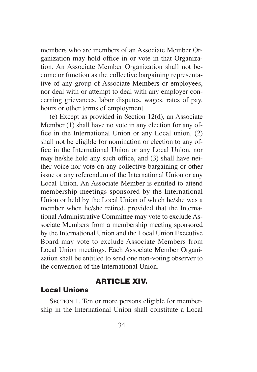members who are members of an Associate Member Organization may hold office in or vote in that Organization. An Associate Member Organization shall not become or function as the collective bargaining representative of any group of Associate Members or employees, nor deal with or attempt to deal with any employer concerning grievances, labor disputes, wages, rates of pay, hours or other terms of employment.

(e) Except as provided in Section 12(d), an Associate Member (1) shall have no vote in any election for any office in the International Union or any Local union, (2) shall not be eligible for nomination or election to any office in the International Union or any Local Union, nor may he/she hold any such office, and (3) shall have neither voice nor vote on any collective bargaining or other issue or any referendum of the International Union or any Local Union. An Associate Member is entitled to attend membership meetings sponsored by the International Union or held by the Local Union of which he/she was a member when he/she retired, provided that the International Administrative Committee may vote to exclude Associate Members from a membership meeting sponsored by the International Union and the Local Union Executive Board may vote to exclude Associate Members from Local Union meetings. Each Associate Member Organization shall be entitled to send one non-voting observer to the convention of the International Union.

#### **ARTICLE XIV.**

#### **Local Unions**

SECTION 1. Ten or more persons eligible for membership in the International Union shall constitute a Local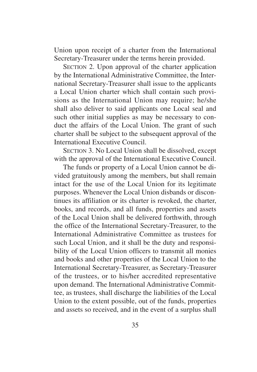Union upon receipt of a charter from the International Secretary-Treasurer under the terms herein provided.

SECTION 2. Upon approval of the charter application by the International Administrative Committee, the International Secretary-Treasurer shall issue to the applicants a Local Union charter which shall contain such provisions as the International Union may require; he/she shall also deliver to said applicants one Local seal and such other initial supplies as may be necessary to conduct the affairs of the Local Union. The grant of such charter shall be subject to the subsequent approval of the International Executive Council.

SECTION 3. No Local Union shall be dissolved, except with the approval of the International Executive Council.

The funds or property of a Local Union cannot be divided gratuitously among the members, but shall remain intact for the use of the Local Union for its legitimate purposes. Whenever the Local Union disbands or discontinues its affiliation or its charter is revoked, the charter, books, and records, and all funds, properties and assets of the Local Union shall be delivered forthwith, through the office of the International Secretary-Treasurer, to the International Administrative Committee as trustees for such Local Union, and it shall be the duty and responsibility of the Local Union officers to transmit all monies and books and other properties of the Local Union to the International Secretary-Treasurer, as Secretary-Treasurer of the trustees, or to his/her accredited representative upon demand. The International Administrative Committee, as trustees, shall discharge the liabilities of the Local Union to the extent possible, out of the funds, properties and assets so received, and in the event of a surplus shall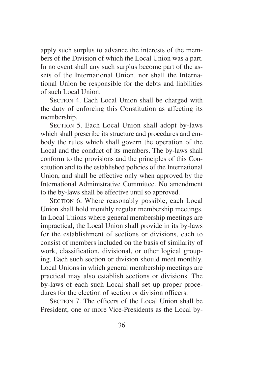apply such surplus to advance the interests of the members of the Division of which the Local Union was a part. In no event shall any such surplus become part of the assets of the International Union, nor shall the International Union be responsible for the debts and liabilities of such Local Union.

SECTION 4. Each Local Union shall be charged with the duty of enforcing this Constitution as affecting its membership.

SECTION 5. Each Local Union shall adopt by-laws which shall prescribe its structure and procedures and embody the rules which shall govern the operation of the Local and the conduct of its members. The by-laws shall conform to the provisions and the principles of this Constitution and to the established policies of the International Union, and shall be effective only when approved by the International Administrative Committee. No amendment to the by-laws shall be effective until so approved.

SECTION 6. Where reasonably possible, each Local Union shall hold monthly regular membership meetings. In Local Unions where general membership meetings are impractical, the Local Union shall provide in its by-laws for the establishment of sections or divisions, each to consist of members included on the basis of similarity of work, classification, divisional, or other logical grouping. Each such section or division should meet monthly. Local Unions in which general membership meetings are practical may also establish sections or divisions. The by-laws of each such Local shall set up proper procedures for the election of section or division officers.

SECTION 7. The officers of the Local Union shall be President, one or more Vice-Presidents as the Local by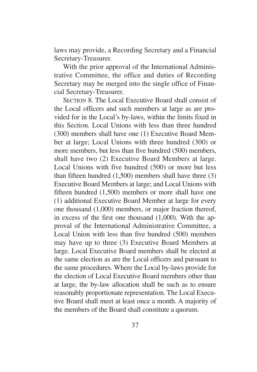laws may provide, a Recording Secretary and a Financial Secretary-Treasurer.

With the prior approval of the International Administrative Committee, the office and duties of Recording Secretary may be merged into the single office of Financial Secretary-Treasurer.

SECTION 8. The Local Executive Board shall consist of the Local officers and such members at large as are provided for in the Local's by-laws, within the limits fixed in this Section. Local Unions with less than three hundred (300) members shall have one (1) Executive Board Member at large; Local Unions with three hundred (300) or more members, but less than five hundred (500) members, shall have two (2) Executive Board Members at large. Local Unions with five hundred (500) or more but less than fifteen hundred (1,500) members shall have three (3) Executive Board Members at large; and Local Unions with fifteen hundred (1,500) members or more shall have one (1) additional Executive Board Member at large for every one thousand (1,000) members, or major fraction thereof, in excess of the first one thousand (1,000). With the approval of the International Administrative Committee, a Local Union with less than five hundred (500) members may have up to three (3) Executive Board Members at large. Local Executive Board members shall be elected at the same election as are the Local officers and pursuant to the same procedures. Where the Local by-laws provide for the election of Local Executive Board members other than at large, the by-law allocation shall be such as to ensure reasonably proportionate representation. The Local Executive Board shall meet at least once a month. A majority of the members of the Board shall constitute a quorum.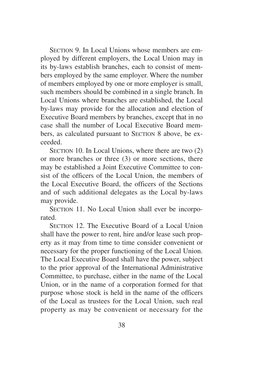SECTION 9. In Local Unions whose members are employed by different employers, the Local Union may in its by-laws establish branches, each to consist of members employed by the same employer. Where the number of members employed by one or more employer is small, such members should be combined in a single branch. In Local Unions where branches are established, the Local by-laws may provide for the allocation and election of Executive Board members by branches, except that in no case shall the number of Local Executive Board members, as calculated pursuant to SECTION 8 above, be exceeded.

SECTION 10. In Local Unions, where there are two  $(2)$ or more branches or three (3) or more sections, there may be established a Joint Executive Committee to consist of the officers of the Local Union, the members of the Local Executive Board, the officers of the Sections and of such additional delegates as the Local by-laws may provide.

SECTION 11. No Local Union shall ever be incorporated.

SECTION 12. The Executive Board of a Local Union shall have the power to rent, hire and/or lease such property as it may from time to time consider convenient or necessary for the proper functioning of the Local Union. The Local Executive Board shall have the power, subject to the prior approval of the International Administrative Committee, to purchase, either in the name of the Local Union, or in the name of a corporation formed for that purpose whose stock is held in the name of the officers of the Local as trustees for the Local Union, such real property as may be convenient or necessary for the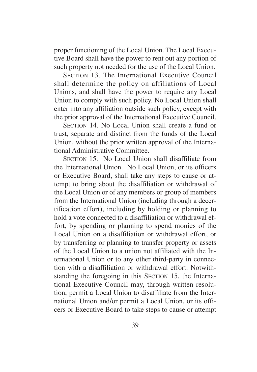proper functioning of the Local Union. The Local Executive Board shall have the power to rent out any portion of such property not needed for the use of the Local Union.

SECTION 13. The International Executive Council shall determine the policy on affiliations of Local Unions, and shall have the power to require any Local Union to comply with such policy. No Local Union shall enter into any affiliation outside such policy, except with the prior approval of the International Executive Council.

SECTION 14. No Local Union shall create a fund or trust, separate and distinct from the funds of the Local Union, without the prior written approval of the International Administrative Committee.

SECTION 15. No Local Union shall disaffiliate from the International Union. No Local Union, or its officers or Executive Board, shall take any steps to cause or attempt to bring about the disaffiliation or withdrawal of the Local Union or of any members or group of members from the International Union (including through a decertification effort), including by holding or planning to hold a vote connected to a disaffiliation or withdrawal effort, by spending or planning to spend monies of the Local Union on a disaffiliation or withdrawal effort, or by transferring or planning to transfer property or assets of the Local Union to a union not affiliated with the International Union or to any other third-party in connection with a disaffiliation or withdrawal effort. Notwithstanding the foregoing in this SECTION 15, the International Executive Council may, through written resolution, permit a Local Union to disaffiliate from the International Union and/or permit a Local Union, or its officers or Executive Board to take steps to cause or attempt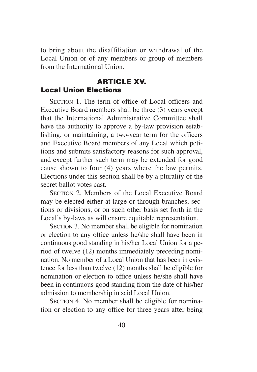to bring about the disaffiliation or withdrawal of the Local Union or of any members or group of members from the International Union.

# **ARTICLE XV. Local Union Elections**

SECTION 1. The term of office of Local officers and Executive Board members shall be three (3) years except that the International Administrative Committee shall have the authority to approve a by-law provision establishing, or maintaining, a two-year term for the officers and Executive Board members of any Local which petitions and submits satisfactory reasons for such approval, and except further such term may be extended for good cause shown to four (4) years where the law permits. Elections under this section shall be by a plurality of the secret ballot votes cast.

SECTION 2. Members of the Local Executive Board may be elected either at large or through branches, sections or divisions, or on such other basis set forth in the Local's by-laws as will ensure equitable representation.

SECTION 3. No member shall be eligible for nomination or election to any office unless he/she shall have been in continuous good standing in his/her Local Union for a period of twelve (12) months immediately preceding nomination. No member of a Local Union that has been in existence for less than twelve (12) months shall be eligible for nomination or election to office unless he/she shall have been in continuous good standing from the date of his/her admission to membership in said Local Union.

SECTION 4. No member shall be eligible for nomination or election to any office for three years after being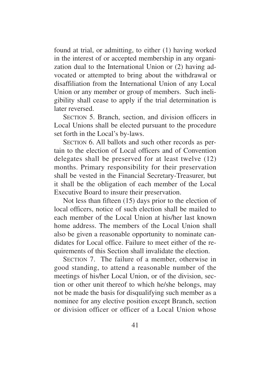found at trial, or admitting, to either (1) having worked in the interest of or accepted membership in any organization dual to the International Union or (2) having advocated or attempted to bring about the withdrawal or disaffiliation from the International Union of any Local Union or any member or group of members. Such ineligibility shall cease to apply if the trial determination is later reversed.

SECTION 5. Branch, section, and division officers in Local Unions shall be elected pursuant to the procedure set forth in the Local's by-laws.

SECTION 6. All ballots and such other records as pertain to the election of Local officers and of Convention delegates shall be preserved for at least twelve (12) months. Primary responsibility for their preservation shall be vested in the Financial Secretary-Treasurer, but it shall be the obligation of each member of the Local Executive Board to insure their preservation.

Not less than fifteen (15) days prior to the election of local officers, notice of such election shall be mailed to each member of the Local Union at his/her last known home address. The members of the Local Union shall also be given a reasonable opportunity to nominate candidates for Local office. Failure to meet either of the requirements of this Section shall invalidate the election.

SECTION 7. The failure of a member, otherwise in good standing, to attend a reasonable number of the meetings of his/her Local Union, or of the division, section or other unit thereof to which he/she belongs, may not be made the basis for disqualifying such member as a nominee for any elective position except Branch, section or division officer or officer of a Local Union whose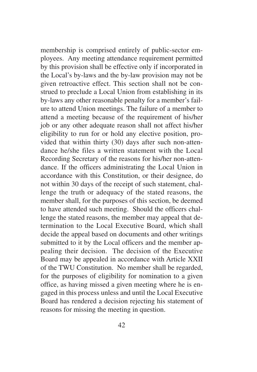membership is comprised entirely of public-sector employees. Any meeting attendance requirement permitted by this provision shall be effective only if incorporated in the Local's by-laws and the by-law provision may not be given retroactive effect. This section shall not be construed to preclude a Local Union from establishing in its by-laws any other reasonable penalty for a member's failure to attend Union meetings. The failure of a member to attend a meeting because of the requirement of his/her job or any other adequate reason shall not affect his/her eligibility to run for or hold any elective position, provided that within thirty (30) days after such non-attendance he/she files a written statement with the Local Recording Secretary of the reasons for his/her non-attendance. If the officers administrating the Local Union in accordance with this Constitution, or their designee, do not within 30 days of the receipt of such statement, challenge the truth or adequacy of the stated reasons, the member shall, for the purposes of this section, be deemed to have attended such meeting. Should the officers challenge the stated reasons, the member may appeal that determination to the Local Executive Board, which shall decide the appeal based on documents and other writings submitted to it by the Local officers and the member appealing their decision. The decision of the Executive Board may be appealed in accordance with Article XXII of the TWU Constitution. No member shall be regarded, for the purposes of eligibility for nomination to a given office, as having missed a given meeting where he is engaged in this process unless and until the Local Executive Board has rendered a decision rejecting his statement of reasons for missing the meeting in question.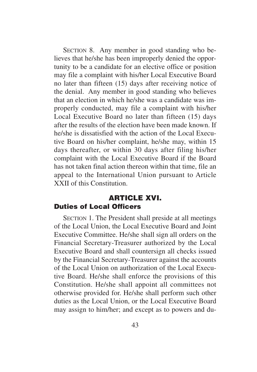SECTION 8. Any member in good standing who believes that he/she has been improperly denied the opportunity to be a candidate for an elective office or position may file a complaint with his/her Local Executive Board no later than fifteen (15) days after receiving notice of the denial. Any member in good standing who believes that an election in which he/she was a candidate was improperly conducted, may file a complaint with his/her Local Executive Board no later than fifteen (15) days after the results of the election have been made known. If he/she is dissatisfied with the action of the Local Executive Board on his/her complaint, he/she may, within 15 days thereafter, or within 30 days after filing his/her complaint with the Local Executive Board if the Board has not taken final action thereon within that time, file an appeal to the International Union pursuant to Article XXII of this Constitution.

# **ARTICLE XVI. Duties of Local Officers**

SECTION 1. The President shall preside at all meetings of the Local Union, the Local Executive Board and Joint Executive Committee. He/she shall sign all orders on the Financial Secretary-Treasurer authorized by the Local Executive Board and shall countersign all checks issued by the Financial Secretary-Treasurer against the accounts of the Local Union on authorization of the Local Executive Board. He/she shall enforce the provisions of this Constitution. He/she shall appoint all committees not otherwise provided for. He/she shall perform such other duties as the Local Union, or the Local Executive Board may assign to him/her; and except as to powers and du-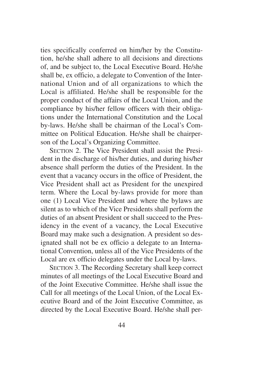ties specifically conferred on him/her by the Constitution, he/she shall adhere to all decisions and directions of, and be subject to, the Local Executive Board. He/she shall be, ex officio, a delegate to Convention of the International Union and of all organizations to which the Local is affiliated. He/she shall be responsible for the proper conduct of the affairs of the Local Union, and the compliance by his/her fellow officers with their obligations under the International Constitution and the Local by-laws. He/she shall be chairman of the Local's Committee on Political Education. He/she shall be chairperson of the Local's Organizing Committee.

SECTION 2. The Vice President shall assist the President in the discharge of his/her duties, and during his/her absence shall perform the duties of the President. In the event that a vacancy occurs in the office of President, the Vice President shall act as President for the unexpired term. Where the Local by-laws provide for more than one (1) Local Vice President and where the bylaws are silent as to which of the Vice Presidents shall perform the duties of an absent President or shall succeed to the Presidency in the event of a vacancy, the Local Executive Board may make such a designation. A president so designated shall not be ex officio a delegate to an International Convention, unless all of the Vice Presidents of the Local are ex officio delegates under the Local by-laws.

SECTION 3. The Recording Secretary shall keep correct minutes of all meetings of the Local Executive Board and of the Joint Executive Committee. He/she shall issue the Call for all meetings of the Local Union, of the Local Executive Board and of the Joint Executive Committee, as directed by the Local Executive Board. He/she shall per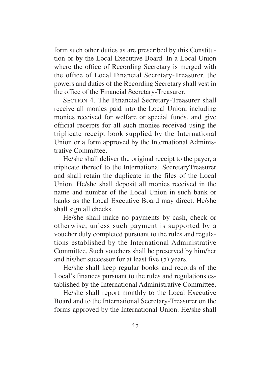form such other duties as are prescribed by this Constitution or by the Local Executive Board. In a Local Union where the office of Recording Secretary is merged with the office of Local Financial Secretary-Treasurer, the powers and duties of the Recording Secretary shall vest in the office of the Financial Secretary-Treasurer.

SECTION 4. The Financial Secretary-Treasurer shall receive all monies paid into the Local Union, including monies received for welfare or special funds, and give official receipts for all such monies received using the triplicate receipt book supplied by the International Union or a form approved by the International Administrative Committee.

He/she shall deliver the original receipt to the payer, a triplicate thereof to the International SecretaryTreasurer and shall retain the duplicate in the files of the Local Union. He/she shall deposit all monies received in the name and number of the Local Union in such bank or banks as the Local Executive Board may direct. He/she shall sign all checks.

He/she shall make no payments by cash, check or otherwise, unless such payment is supported by a voucher duly completed pursuant to the rules and regulations established by the International Administrative Committee. Such vouchers shall be preserved by him/her and his/her successor for at least five (5) years.

He/she shall keep regular books and records of the Local's finances pursuant to the rules and regulations established by the International Administrative Committee.

He/she shall report monthly to the Local Executive Board and to the International Secretary-Treasurer on the forms approved by the International Union. He/she shall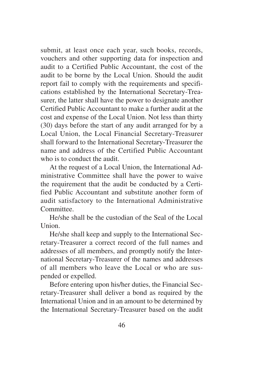submit, at least once each year, such books, records, vouchers and other supporting data for inspection and audit to a Certified Public Accountant, the cost of the audit to be borne by the Local Union. Should the audit report fail to comply with the requirements and specifications established by the International Secretary-Treasurer, the latter shall have the power to designate another Certified Public Accountant to make a further audit at the cost and expense of the Local Union. Not less than thirty (30) days before the start of any audit arranged for by a Local Union, the Local Financial Secretary-Treasurer shall forward to the International Secretary-Treasurer the name and address of the Certified Public Accountant who is to conduct the audit.

At the request of a Local Union, the International Administrative Committee shall have the power to waive the requirement that the audit be conducted by a Certified Public Accountant and substitute another form of audit satisfactory to the International Administrative Committee.

He/she shall be the custodian of the Seal of the Local Union.

He/she shall keep and supply to the International Secretary-Treasurer a correct record of the full names and addresses of all members, and promptly notify the International Secretary-Treasurer of the names and addresses of all members who leave the Local or who are suspended or expelled.

Before entering upon his/her duties, the Financial Secretary-Treasurer shall deliver a bond as required by the International Union and in an amount to be determined by the International Secretary-Treasurer based on the audit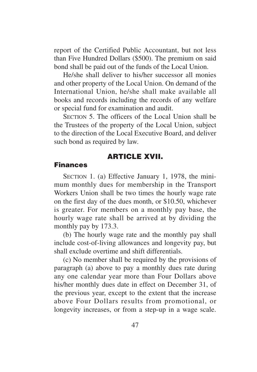report of the Certified Public Accountant, but not less than Five Hundred Dollars (\$500). The premium on said bond shall be paid out of the funds of the Local Union.

He/she shall deliver to his/her successor all monies and other property of the Local Union. On demand of the International Union, he/she shall make available all books and records including the records of any welfare or special fund for examination and audit.

SECTION 5. The officers of the Local Union shall be the Trustees of the property of the Local Union, subject to the direction of the Local Executive Board, and deliver such bond as required by law.

## **ARTICLE XVII.**

#### **Finances**

SECTION 1. (a) Effective January 1, 1978, the minimum monthly dues for membership in the Transport Workers Union shall be two times the hourly wage rate on the first day of the dues month, or \$10.50, whichever is greater. For members on a monthly pay base, the hourly wage rate shall be arrived at by dividing the monthly pay by 173.3.

(b) The hourly wage rate and the monthly pay shall include cost-of-living allowances and longevity pay, but shall exclude overtime and shift differentials.

(c) No member shall be required by the provisions of paragraph (a) above to pay a monthly dues rate during any one calendar year more than Four Dollars above his/her monthly dues date in effect on December 31, of the previous year, except to the extent that the increase above Four Dollars results from promotional, or longevity increases, or from a step-up in a wage scale.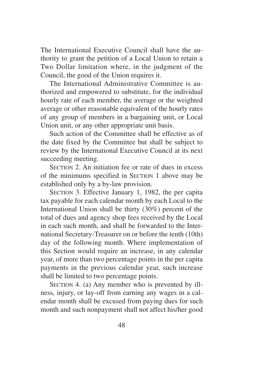The International Executive Council shall have the authority to grant the petition of a Local Union to retain a Two Dollar limitation where, in the judgment of the Council, the good of the Union requires it.

The International Administrative Committee is authorized and empowered to substitute, for the individual hourly rate of each member, the average or the weighted average or other reasonable equivalent of the hourly rates of any group of members in a bargaining unit, or Local Union unit, or any other appropriate unit basis.

Such action of the Committee shall be effective as of the date fixed by the Committee but shall be subject to review by the International Executive Council at its next succeeding meeting.

SECTION 2. An initiation fee or rate of dues in excess of the minimums specified in SECTION 1 above may be established only by a by-law provision.

SECTION 3. Effective January 1, 1982, the per capita tax payable for each calendar month by each Local to the International Union shall be thirty (30%) percent of the total of dues and agency shop fees received by the Local in each such month, and shall be forwarded to the International Secretary-Treasurer on or before the tenth (10th) day of the following month. Where implementation of this Section would require an increase, in any calendar year, of more than two percentage points in the per capita payments in the previous calendar year, such increase shall be limited to two percentage points.

SECTION 4. (a) Any member who is prevented by illness, injury, or lay-off from earning any wages in a calendar month shall be excused from paying dues for such month and such nonpayment shall not affect his/her good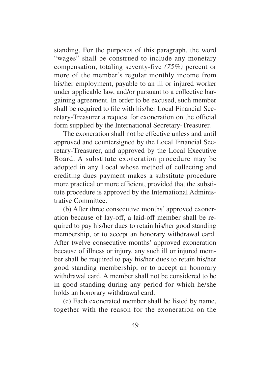standing. For the purposes of this paragraph, the word "wages" shall be construed to include any monetary compensation, totaling seventy-five *(75%)* percent or more of the member's regular monthly income from his/her employment, payable to an ill or injured worker under applicable law, and/or pursuant to a collective bargaining agreement. In order to be excused, such member shall be required to file with his/her Local Financial Secretary-Treasurer a request for exoneration on the official form supplied by the International Secretary-Treasurer.

The exoneration shall not be effective unless and until approved and countersigned by the Local Financial Secretary-Treasurer, and approved by the Local Executive Board. A substitute exoneration procedure may be adopted in any Local whose method of collecting and crediting dues payment makes a substitute procedure more practical or more efficient, provided that the substitute procedure is approved by the International Administrative Committee.

(b) After three consecutive months' approved exoneration because of lay-off, a laid-off member shall be required to pay his/her dues to retain his/her good standing membership, or to accept an honorary withdrawal card. After twelve consecutive months' approved exoneration because of illness or injury, any such ill or injured member shall be required to pay his/her dues to retain his/her good standing membership, or to accept an honorary withdrawal card. A member shall not be considered to be in good standing during any period for which he/she holds an honorary withdrawal card.

(c) Each exonerated member shall be listed by name, together with the reason for the exoneration on the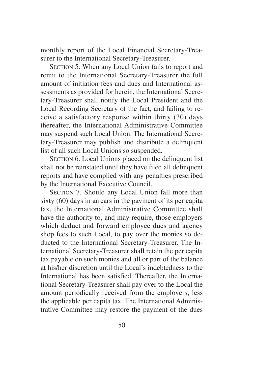monthly report of the Local Financial Secretary-Treasurer to the International Secretary-Treasurer.

SECTION 5. When any Local Union fails to report and remit to the International Secretary-Treasurer the full amount of initiation fees and dues and International assessments as provided for herein, the International Secretary-Treasurer shall notify the Local President and the Local Recording Secretary of the fact, and failing to receive a satisfactory response within thirty (30) days thereafter, the International Administrative Committee may suspend such Local Union. The International Secretary-Treasurer may publish and distribute a delinquent list of all such Local Unions so suspended.

SECTION 6. Local Unions placed on the delinquent list shall not be reinstated until they have filed all delinquent reports and have complied with any penalties prescribed by the International Executive Council.

SECTION 7. Should any Local Union fall more than sixty (60) days in arrears in the payment of its per capita tax, the International Administrative Committee shall have the authority to, and may require, those employers which deduct and forward employee dues and agency shop fees to such Local, to pay over the monies so deducted to the International Secretary-Treasurer. The International Secretary-Treasurer shall retain the per capita tax payable on such monies and all or part of the balance at his/her discretion until the Local's indebtedness to the International has been satisfied. Thereafter, the International Secretary-Treasurer shall pay over to the Local the amount periodically received from the employers, less the applicable per capita tax. The International Administrative Committee may restore the payment of the dues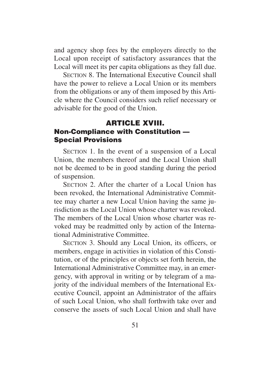and agency shop fees by the employers directly to the Local upon receipt of satisfactory assurances that the Local will meet its per capita obligations as they fall due.

SECTION 8. The International Executive Council shall have the power to relieve a Local Union or its members from the obligations or any of them imposed by this Article where the Council considers such relief necessary or advisable for the good of the Union.

## **ARTICLE XVIII. Non-Compliance with Constitution — Special Provisions**

SECTION 1. In the event of a suspension of a Local Union, the members thereof and the Local Union shall not be deemed to be in good standing during the period of suspension.

SECTION 2. After the charter of a Local Union has been revoked, the International Administrative Committee may charter a new Local Union having the same jurisdiction as the Local Union whose charter was revoked. The members of the Local Union whose charter was revoked may be readmitted only by action of the International Administrative Committee.

SECTION 3. Should any Local Union, its officers, or members, engage in activities in violation of this Constitution, or of the principles or objects set forth herein, the International Administrative Committee may, in an emergency, with approval in writing or by telegram of a majority of the individual members of the International Executive Council, appoint an Administrator of the affairs of such Local Union, who shall forthwith take over and conserve the assets of such Local Union and shall have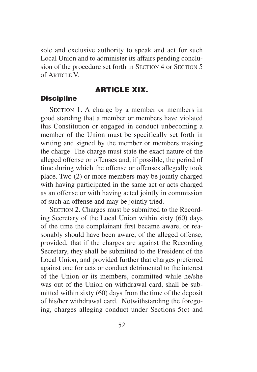sole and exclusive authority to speak and act for such Local Union and to administer its affairs pending conclusion of the procedure set forth in SECTION 4 or SECTION 5  $of$  ARTICLE V

# **ARTICLE XIX.**

#### **Discipline**

SECTION 1. A charge by a member or members in good standing that a member or members have violated this Constitution or engaged in conduct unbecoming a member of the Union must be specifically set forth in writing and signed by the member or members making the charge. The charge must state the exact nature of the alleged offense or offenses and, if possible, the period of time during which the offense or offenses allegedly took place. Two (2) or more members may be jointly charged with having participated in the same act or acts charged as an offense or with having acted jointly in commission of such an offense and may be jointly tried.

SECTION 2. Charges must be submitted to the Recording Secretary of the Local Union within sixty (60) days of the time the complainant first became aware, or reasonably should have been aware, of the alleged offense, provided, that if the charges are against the Recording Secretary, they shall be submitted to the President of the Local Union, and provided further that charges preferred against one for acts or conduct detrimental to the interest of the Union or its members, committed while he/she was out of the Union on withdrawal card, shall be submitted within sixty (60) days from the time of the deposit of his/her withdrawal card. Notwithstanding the foregoing, charges alleging conduct under Sections 5(c) and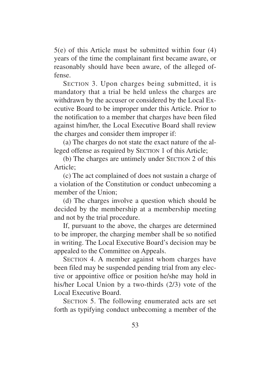5(e) of this Article must be submitted within four (4) years of the time the complainant first became aware, or reasonably should have been aware, of the alleged offense.

SECTION 3. Upon charges being submitted, it is mandatory that a trial be held unless the charges are withdrawn by the accuser or considered by the Local Executive Board to be improper under this Article. Prior to the notification to a member that charges have been filed against him/her, the Local Executive Board shall review the charges and consider them improper if:

(a) The charges do not state the exact nature of the alleged offense as required by SECTION 1 of this Article;

(b) The charges are untimely under SECTION 2 of this Article;

(c) The act complained of does not sustain a charge of a violation of the Constitution or conduct unbecoming a member of the Union:

(d) The charges involve a question which should be decided by the membership at a membership meeting and not by the trial procedure.

If, pursuant to the above, the charges are determined to be improper, the charging member shall be so notified in writing. The Local Executive Board's decision may be appealed to the Committee on Appeals.

SECTION 4. A member against whom charges have been filed may be suspended pending trial from any elective or appointive office or position he/she may hold in his/her Local Union by a two-thirds (2/3) vote of the Local Executive Board.

SECTION 5. The following enumerated acts are set forth as typifying conduct unbecoming a member of the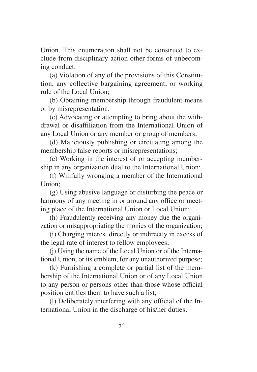Union. This enumeration shall not be construed to exclude from disciplinary action other forms of unbecoming conduct.

(a) Violation of any of the provisions of this Constitution, any collective bargaining agreement, or working rule of the Local Union;

(b) Obtaining membership through fraudulent means or by misrepresentation;

(c) Advocating or attempting to bring about the withdrawal or disaffiliation from the International Union of any Local Union or any member or group of members;

(d) Maliciously publishing or circulating among the membership false reports or misrepresentations;

(e) Working in the interest of or accepting membership in any organization dual to the International Union;

(f) Willfully wronging a member of the International Union;

(g) Using abusive language or disturbing the peace or harmony of any meeting in or around any office or meeting place of the International Union or Local Union;

(h) Fraudulently receiving any money due the organization or misappropriating the monies of the organization;

(i) Charging interest directly or indirectly in excess of the legal rate of interest to fellow employees;

(j) Using the name of the Local Union or of the International Union, or its emblem, for any unauthorized purpose;

(k) Furnishing a complete or partial list of the membership of the International Union or of any Local Union to any person or persons other than those whose official position entitles them to have such a list;

(l) Deliberately interfering with any official of the International Union in the discharge of his/her duties;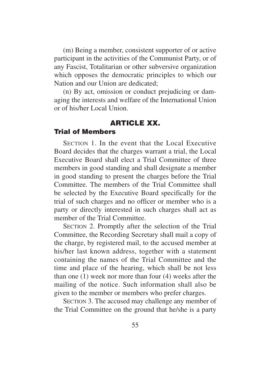(m) Being a member, consistent supporter of or active participant in the activities of the Communist Party, or of any Fascist, Totalitarian or other subversive organization which opposes the democratic principles to which our Nation and our Union are dedicated;

(n) By act, omission or conduct prejudicing or damaging the interests and welfare of the International Union or of his/her Local Union.

# **ARTICLE XX.**

## **Trial of Members**

SECTION 1. In the event that the Local Executive Board decides that the charges warrant a trial, the Local Executive Board shall elect a Trial Committee of three members in good standing and shall designate a member in good standing to present the charges before the Trial Committee. The members of the Trial Committee shall be selected by the Executive Board specifically for the trial of such charges and no officer or member who is a party or directly interested in such charges shall act as member of the Trial Committee.

SECTION 2. Promptly after the selection of the Trial Committee, the Recording Secretary shall mail a copy of the charge, by registered mail, to the accused member at his/her last known address, together with a statement containing the names of the Trial Committee and the time and place of the hearing, which shall be not less than one (1) week nor more than four (4) weeks after the mailing of the notice. Such information shall also be given to the member or members who prefer charges.

SECTION 3. The accused may challenge any member of the Trial Committee on the ground that he/she is a party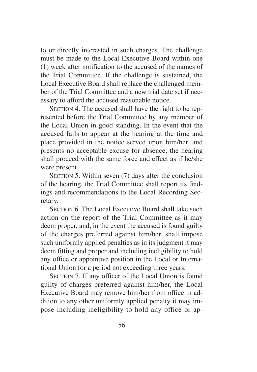to or directly interested in such charges. The challenge must be made to the Local Executive Board within one (1) week after notification to the accused of the names of the Trial Committee. If the challenge is sustained, the Local Executive Board shall replace the challenged member of the Trial Committee and a new trial date set if necessary to afford the accused reasonable notice.

SECTION 4. The accused shall have the right to be represented before the Trial Committee by any member of the Local Union in good standing. In the event that the accused fails to appear at the hearing at the time and place provided in the notice served upon him/her, and presents no acceptable excuse for absence, the hearing shall proceed with the same force and effect as if he/she were present.

SECTION 5. Within seven (7) days after the conclusion of the hearing, the Trial Committee shall report its findings and recommendations to the Local Recording Secretary.

SECTION 6. The Local Executive Board shall take such action on the report of the Trial Committee as it may deem proper, and, in the event the accused is found guilty of the charges preferred against him/her, shall impose such uniformly applied penalties as in its judgment it may deem fitting and proper and including ineligibility to hold any office or appointive position in the Local or International Union for a period not exceeding three years.

SECTION 7. If any officer of the Local Union is found guilty of charges preferred against him/her, the Local Executive Board may remove him/her from office in addition to any other uniformly applied penalty it may impose including ineligibility to hold any office or ap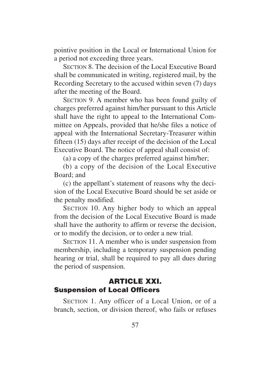pointive position in the Local or International Union for a period not exceeding three years.

SECTION 8. The decision of the Local Executive Board shall be communicated in writing, registered mail, by the Recording Secretary to the accused within seven (7) days after the meeting of the Board.

SECTION 9. A member who has been found guilty of charges preferred against him/her pursuant to this Article shall have the right to appeal to the International Committee on Appeals, provided that he/she files a notice of appeal with the International Secretary-Treasurer within fifteen (15) days after receipt of the decision of the Local Executive Board. The notice of appeal shall consist of:

(a) a copy of the charges preferred against him/her;

(b) a copy of the decision of the Local Executive Board; and

(c) the appellant's statement of reasons why the decision of the Local Executive Board should be set aside or the penalty modified.

SECTION 10. Any higher body to which an appeal from the decision of the Local Executive Board is made shall have the authority to affirm or reverse the decision, or to modify the decision, or to order a new trial.

SECTION 11. A member who is under suspension from membership, including a temporary suspension pending hearing or trial, shall be required to pay all dues during the period of suspension.

## **ARTICLE XXI. Suspension of Local Officers**

SECTION 1. Any officer of a Local Union, or of a branch, section, or division thereof, who fails or refuses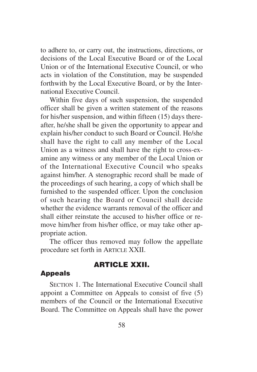to adhere to, or carry out, the instructions, directions, or decisions of the Local Executive Board or of the Local Union or of the International Executive Council, or who acts in violation of the Constitution, may be suspended forthwith by the Local Executive Board, or by the International Executive Council.

Within five days of such suspension, the suspended officer shall be given a written statement of the reasons for his/her suspension, and within fifteen (15) days thereafter, he/she shall be given the opportunity to appear and explain his/her conduct to such Board or Council. He/she shall have the right to call any member of the Local Union as a witness and shall have the right to cross-examine any witness or any member of the Local Union or of the International Executive Council who speaks against him/her. A stenographic record shall be made of the proceedings of such hearing, a copy of which shall be furnished to the suspended officer. Upon the conclusion of such hearing the Board or Council shall decide whether the evidence warrants removal of the officer and shall either reinstate the accused to his/her office or remove him/her from his/her office, or may take other appropriate action.

The officer thus removed may follow the appellate procedure set forth in ARTICLE XXII.

# **ARTICLE XXII.**

### **Appeals**

SECTION 1. The International Executive Council shall appoint a Committee on Appeals to consist of five (5) members of the Council or the International Executive Board. The Committee on Appeals shall have the power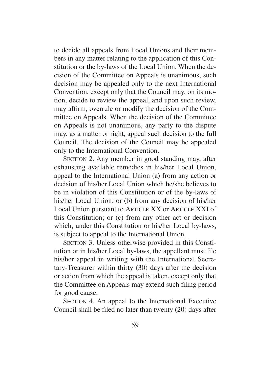to decide all appeals from Local Unions and their members in any matter relating to the application of this Constitution or the by-laws of the Local Union. When the decision of the Committee on Appeals is unanimous, such decision may be appealed only to the next International Convention, except only that the Council may, on its motion, decide to review the appeal, and upon such review, may affirm, overrule or modify the decision of the Committee on Appeals. When the decision of the Committee on Appeals is not unanimous, any party to the dispute may, as a matter or right, appeal such decision to the full Council. The decision of the Council may be appealed only to the International Convention.

SECTION 2. Any member in good standing may, after exhausting available remedies in his/her Local Union, appeal to the International Union (a) from any action or decision of his/her Local Union which he/she believes to be in violation of this Constitution or of the by-laws of his/her Local Union; or (b) from any decision of his/her Local Union pursuant to ARTICLE XX or ARTICLE XXI of this Constitution; or (c) from any other act or decision which, under this Constitution or his/her Local by-laws, is subject to appeal to the International Union.

SECTION 3. Unless otherwise provided in this Constitution or in his/her Local by-laws, the appellant must file his/her appeal in writing with the International Secretary-Treasurer within thirty (30) days after the decision or action from which the appeal is taken, except only that the Committee on Appeals may extend such filing period for good cause.

SECTION 4. An appeal to the International Executive Council shall be filed no later than twenty (20) days after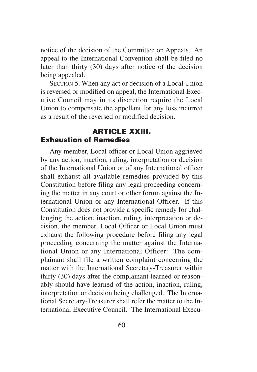notice of the decision of the Committee on Appeals. An appeal to the International Convention shall be filed no later than thirty (30) days after notice of the decision being appealed.

SECTION 5. When any act or decision of a Local Union is reversed or modified on appeal, the International Executive Council may in its discretion require the Local Union to compensate the appellant for any loss incurred as a result of the reversed or modified decision.

# **ARTICLE XXIII. Exhaustion of Remedies**

Any member, Local officer or Local Union aggrieved by any action, inaction, ruling, interpretation or decision of the International Union or of any International officer shall exhaust all available remedies provided by this Constitution before filing any legal proceeding concerning the matter in any court or other forum against the International Union or any International Officer. If this Constitution does not provide a specific remedy for challenging the action, inaction, ruling, interpretation or decision, the member, Local Officer or Local Union must exhaust the following procedure before filing any legal proceeding concerning the matter against the International Union or any International Officer: The complainant shall file a written complaint concerning the matter with the International Secretary-Treasurer within thirty (30) days after the complainant learned or reasonably should have learned of the action, inaction, ruling, interpretation or decision being challenged. The International Secretary-Treasurer shall refer the matter to the International Executive Council. The International Execu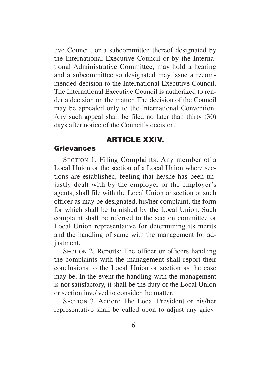tive Council, or a subcommittee thereof designated by the International Executive Council or by the International Administrative Committee, may hold a hearing and a subcommittee so designated may issue a recommended decision to the International Executive Council. The International Executive Council is authorized to render a decision on the matter. The decision of the Council may be appealed only to the International Convention. Any such appeal shall be filed no later than thirty (30) days after notice of the Council's decision.

## **ARTICLE XXIV.**

### **Grievances**

SECTION 1. Filing Complaints: Any member of a Local Union or the section of a Local Union where sections are established, feeling that he/she has been unjustly dealt with by the employer or the employer's agents, shall file with the Local Union or section or such officer as may be designated, his/her complaint, the form for which shall be furnished by the Local Union. Such complaint shall be referred to the section committee or Local Union representative for determining its merits and the handling of same with the management for adjustment.

SECTION 2. Reports: The officer or officers handling the complaints with the management shall report their conclusions to the Local Union or section as the case may be. In the event the handling with the management is not satisfactory, it shall be the duty of the Local Union or section involved to consider the matter.

SECTION 3. Action: The Local President or his/her representative shall be called upon to adjust any griev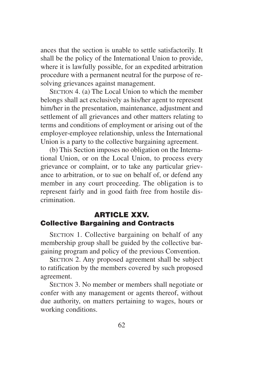ances that the section is unable to settle satisfactorily. It shall be the policy of the International Union to provide, where it is lawfully possible, for an expedited arbitration procedure with a permanent neutral for the purpose of resolving grievances against management.

SECTION 4. (a) The Local Union to which the member belongs shall act exclusively as his/her agent to represent him/her in the presentation, maintenance, adjustment and settlement of all grievances and other matters relating to terms and conditions of employment or arising out of the employer-employee relationship, unless the International Union is a party to the collective bargaining agreement.

(b) This Section imposes no obligation on the International Union, or on the Local Union, to process every grievance or complaint, or to take any particular grievance to arbitration, or to sue on behalf of, or defend any member in any court proceeding. The obligation is to represent fairly and in good faith free from hostile discrimination.

# **ARTICLE XXV. Collective Bargaining and Contracts**

SECTION 1. Collective bargaining on behalf of any membership group shall be guided by the collective bargaining program and policy of the previous Convention.

SECTION 2. Any proposed agreement shall be subject to ratification by the members covered by such proposed agreement.

SECTION 3. No member or members shall negotiate or confer with any management or agents thereof, without due authority, on matters pertaining to wages, hours or working conditions.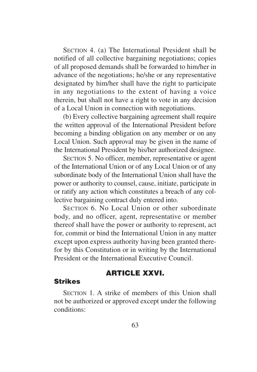SECTION 4. (a) The International President shall be notified of all collective bargaining negotiations; copies of all proposed demands shall be forwarded to him/her in advance of the negotiations; he/she or any representative designated by him/her shall have the right to participate in any negotiations to the extent of having a voice therein, but shall not have a right to vote in any decision of a Local Union in connection with negotiations.

(b) Every collective bargaining agreement shall require the written approval of the International President before becoming a binding obligation on any member or on any Local Union. Such approval may be given in the name of the International President by his/her authorized designee.

SECTION 5. No officer, member, representative or agent of the International Union or of any Local Union or of any subordinate body of the International Union shall have the power or authority to counsel, cause, initiate, participate in or ratify any action which constitutes a breach of any collective bargaining contract duly entered into.

SECTION 6. No Local Union or other subordinate body, and no officer, agent, representative or member thereof shall have the power or authority to represent, act for, commit or bind the International Union in any matter except upon express authority having been granted therefor by this Constitution or in writing by the International President or the International Executive Council.

### **ARTICLE XXVI.**

#### **Strikes**

SECTION 1. A strike of members of this Union shall not be authorized or approved except under the following conditions: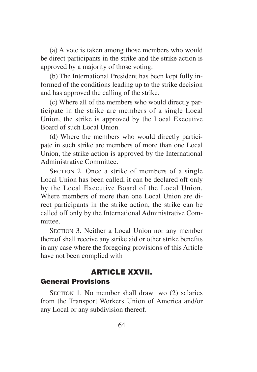(a) A vote is taken among those members who would be direct participants in the strike and the strike action is approved by a majority of those voting.

(b) The International President has been kept fully informed of the conditions leading up to the strike decision and has approved the calling of the strike.

(c) Where all of the members who would directly participate in the strike are members of a single Local Union, the strike is approved by the Local Executive Board of such Local Union.

(d) Where the members who would directly participate in such strike are members of more than one Local Union, the strike action is approved by the International Administrative Committee.

SECTION 2. Once a strike of members of a single Local Union has been called, it can be declared off only by the Local Executive Board of the Local Union. Where members of more than one Local Union are direct participants in the strike action, the strike can be called off only by the International Administrative Committee.

SECTION 3. Neither a Local Union nor any member thereof shall receive any strike aid or other strike benefits in any case where the foregoing provisions of this Article have not been complied with

# **ARTICLE XXVII.**

## **General Provisions**

SECTION 1. No member shall draw two (2) salaries from the Transport Workers Union of America and/or any Local or any subdivision thereof.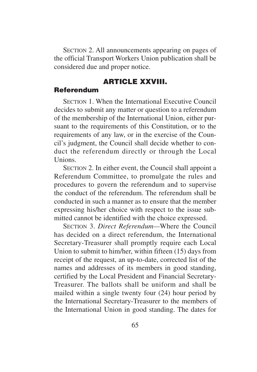SECTION 2. All announcements appearing on pages of the official Transport Workers Union publication shall be considered due and proper notice.

# **ARTICLE XXVIII.**

#### **Referendum**

SECTION 1. When the International Executive Council decides to submit any matter or question to a referendum of the membership of the International Union, either pursuant to the requirements of this Constitution, or to the requirements of any law, or in the exercise of the Council's judgment, the Council shall decide whether to conduct the referendum directly or through the Local **Unions** 

SECTION 2. In either event, the Council shall appoint a Referendum Committee, to promulgate the rules and procedures to govern the referendum and to supervise the conduct of the referendum. The referendum shall be conducted in such a manner as to ensure that the member expressing his/her choice with respect to the issue submitted cannot be identified with the choice expressed.

SECTION 3. *Direct Referendum—*Where the Council has decided on a direct referendum, the International Secretary-Treasurer shall promptly require each Local Union to submit to him/her, within fifteen (15) days from receipt of the request, an up-to-date, corrected list of the names and addresses of its members in good standing, certified by the Local President and Financial Secretary-Treasurer. The ballots shall be uniform and shall be mailed within a single twenty four (24) hour period by the International Secretary-Treasurer to the members of the International Union in good standing. The dates for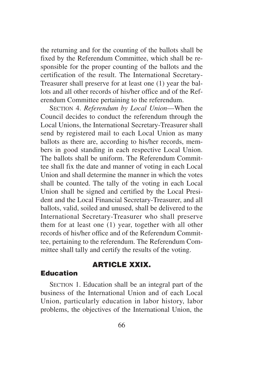the returning and for the counting of the ballots shall be fixed by the Referendum Committee, which shall be responsible for the proper counting of the ballots and the certification of the result. The International Secretary-Treasurer shall preserve for at least one (1) year the ballots and all other records of his/her office and of the Referendum Committee pertaining to the referendum.

SECTION 4. *Referendum by Local Union*—When the Council decides to conduct the referendum through the Local Unions, the International Secretary-Treasurer shall send by registered mail to each Local Union as many ballots as there are, according to his/her records, members in good standing in each respective Local Union. The ballots shall be uniform. The Referendum Committee shall fix the date and manner of voting in each Local Union and shall determine the manner in which the votes shall be counted. The tally of the voting in each Local Union shall be signed and certified by the Local President and the Local Financial Secretary-Treasurer, and all ballots, valid, soiled and unused, shall be delivered to the International Secretary-Treasurer who shall preserve them for at least one (1) year, together with all other records of his/her office and of the Referendum Committee, pertaining to the referendum. The Referendum Committee shall tally and certify the results of the voting.

# **ARTICLE XXIX.**

#### **Education**

SECTION 1. Education shall be an integral part of the business of the International Union and of each Local Union, particularly education in labor history, labor problems, the objectives of the International Union, the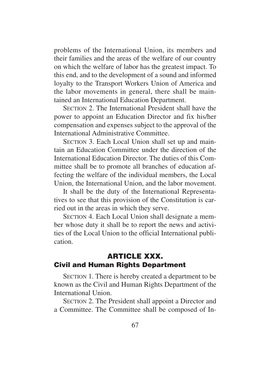problems of the International Union, its members and their families and the areas of the welfare of our country on which the welfare of labor has the greatest impact. To this end, and to the development of a sound and informed loyalty to the Transport Workers Union of America and the labor movements in general, there shall be maintained an International Education Department.

SECTION 2. The International President shall have the power to appoint an Education Director and fix his/her compensation and expenses subject to the approval of the International Administrative Committee.

SECTION 3. Each Local Union shall set up and maintain an Education Committee under the direction of the International Education Director. The duties of this Committee shall be to promote all branches of education affecting the welfare of the individual members, the Local Union, the International Union, and the labor movement.

It shall be the duty of the International Representatives to see that this provision of the Constitution is carried out in the areas in which they serve.

SECTION 4. Each Local Union shall designate a member whose duty it shall be to report the news and activities of the Local Union to the official International publication.

# **ARTICLE XXX. Civil and Human Rights Department**

SECTION 1. There is hereby created a department to be known as the Civil and Human Rights Department of the International Union.

SECTION 2. The President shall appoint a Director and a Committee. The Committee shall be composed of In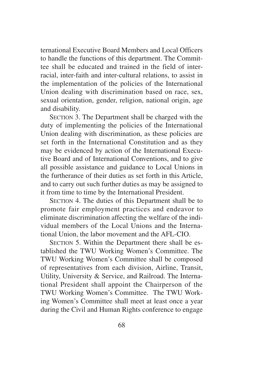ternational Executive Board Members and Local Officers to handle the functions of this department. The Committee shall be educated and trained in the field of interracial, inter-faith and inter-cultural relations, to assist in the implementation of the policies of the International Union dealing with discrimination based on race, sex, sexual orientation, gender, religion, national origin, age and disability.

SECTION 3. The Department shall be charged with the duty of implementing the policies of the International Union dealing with discrimination, as these policies are set forth in the International Constitution and as they may be evidenced by action of the International Executive Board and of International Conventions, and to give all possible assistance and guidance to Local Unions in the furtherance of their duties as set forth in this Article, and to carry out such further duties as may be assigned to it from time to time by the International President.

SECTION 4. The duties of this Department shall be to promote fair employment practices and endeavor to eliminate discrimination affecting the welfare of the individual members of the Local Unions and the International Union, the labor movement and the AFL-CIO.

SECTION 5. Within the Department there shall be established the TWU Working Women's Committee. The TWU Working Women's Committee shall be composed of representatives from each division, Airline, Transit, Utility, University & Service, and Railroad. The International President shall appoint the Chairperson of the TWU Working Women's Committee. The TWU Working Women's Committee shall meet at least once a year during the Civil and Human Rights conference to engage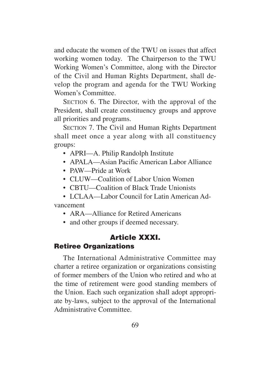and educate the women of the TWU on issues that affect working women today. The Chairperson to the TWU Working Women's Committee, along with the Director of the Civil and Human Rights Department, shall develop the program and agenda for the TWU Working Women's Committee.

SECTION 6. The Director, with the approval of the President, shall create constituency groups and approve all priorities and programs.

SECTION 7. The Civil and Human Rights Department shall meet once a year along with all constituency groups:

- APRI—A. Philip Randolph Institute
- APALA—Asian Pacific American Labor Alliance
- PAW—Pride at Work
- CLUW—Coalition of Labor Union Women
- CBTU—Coalition of Black Trade Unionists

• LCLAA—Labor Council for Latin American Advancement

- ARA—Alliance for Retired Americans
- and other groups if deemed necessary.

### **Article XXXI. Retiree Organizations**

The International Administrative Committee may charter a retiree organization or organizations consisting of former members of the Union who retired and who at the time of retirement were good standing members of the Union. Each such organization shall adopt appropriate by-laws, subject to the approval of the International Administrative Committee.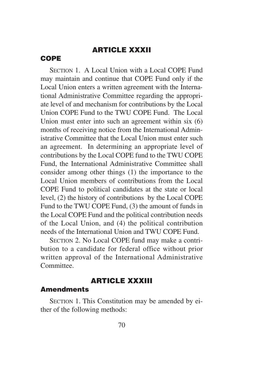## **ARTICLE XXXII**

#### **COPE**

SECTION 1. A Local Union with a Local COPE Fund may maintain and continue that COPE Fund only if the Local Union enters a written agreement with the International Administrative Committee regarding the appropriate level of and mechanism for contributions by the Local Union COPE Fund to the TWU COPE Fund. The Local Union must enter into such an agreement within six (6) months of receiving notice from the International Administrative Committee that the Local Union must enter such an agreement. In determining an appropriate level of contributions by the Local COPE fund to the TWU COPE Fund, the International Administrative Committee shall consider among other things (1) the importance to the Local Union members of contributions from the Local COPE Fund to political candidates at the state or local level, (2) the history of contributions by the Local COPE Fund to the TWU COPE Fund, (3) the amount of funds in the Local COPE Fund and the political contribution needs of the Local Union, and (4) the political contribution needs of the International Union and TWU COPE Fund.

SECTION 2. No Local COPE fund may make a contribution to a candidate for federal office without prior written approval of the International Administrative Committee.

#### **ARTICLE XXXIII**

#### **Amendments**

SECTION 1. This Constitution may be amended by either of the following methods: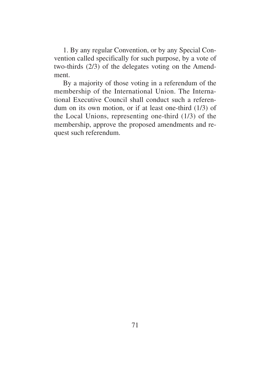1. By any regular Convention, or by any Special Convention called specifically for such purpose, by a vote of two-thirds (2/3) of the delegates voting on the Amendment.

By a majority of those voting in a referendum of the membership of the International Union. The International Executive Council shall conduct such a referendum on its own motion, or if at least one-third (1/3) of the Local Unions, representing one-third (1/3) of the membership, approve the proposed amendments and request such referendum.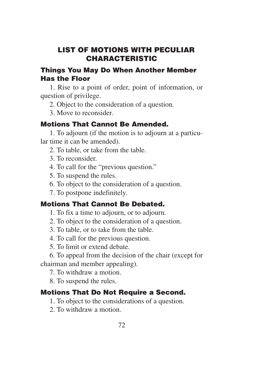### **LIST OF MOTIONS WITH PECULIAR CHARACTERISTIC**

### **Things You May Do When Another Member Has the Floor**

1. Rise to a point of order, point of information, or question of privilege.

2. Object to the consideration of a question.

3. Move to reconsider.

### **Motions That Cannot Be Amended.**

1. To adjourn (if the motion is to adjourn at a particular time it can be amended).

2. To table, or take from the table.

3. To reconsider.

4. To call for the "previous question."

5. To suspend the rules.

6. To object to the consideration of a question.

7. To postpone indefinitely.

### **Motions That Cannot Be Debated.**

1. To fix a time to adjourn, or to adjourn.

- 2. To object to the consideration of a question.
- 3. To table, or to take from the table.

4. To call for the previous question.

5. To limit or extend debate.

6. To appeal from the decision of the chair (except for chairman and member appealing).

7. To withdraw a motion.

8. To suspend the rules.

### **Motions That Do Not Require a Second.**

1. To object to the considerations of a question.

2. To withdraw a motion.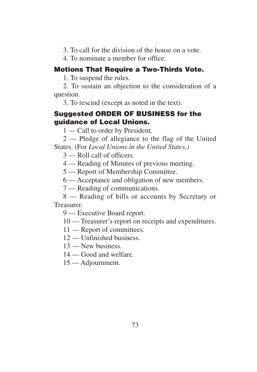3. To call for the division of the house on a vote.

4. To nominate a member for office.

#### **Motions That Require a Two-Thirds Vote.**

1. To suspend the rules.

2. To sustain an objection to the consideration of a question.

3. To rescind (except as noted in the text).

### **Suggested ORDER OF BUSINESS for the guidance of Local Unions.**

1 — Call to order by President.

2 — Pledge of allegiance to the flag of the United States. (For *Local Unions in the United States.)*

- 3 Roll call of officers.
- 4 Reading of Minutes of previous meeting.
- 5 Report of Membership Committee.
- 6 Acceptance and obligation of new members.
- 7 Reading of communications.

8 — Reading of bills or accounts by Secretary or Treasurer.

9 — Executive Board report.

10 — Treasurer's report on receipts and expenditures.

- 11 Report of committees.
- 12 Unfinished business.
- 13 New business.
- 14 Good and welfare.
- 15 Adjournment.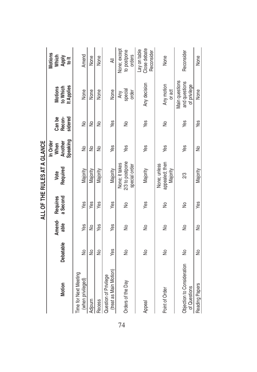|                                                 |           |        |                      | ALL OF THE RULES AT A GLANCE                       |                  |         |                                                 |                                            |
|-------------------------------------------------|-----------|--------|----------------------|----------------------------------------------------|------------------|---------|-------------------------------------------------|--------------------------------------------|
|                                                 |           | Amend- |                      | Vote                                               | In Order<br>When | Can be  | Motions                                         | Motions                                    |
| Motion                                          | Debatable | able   | Requires<br>a Second | Required                                           | Another          | Recon-  | to Which                                        | Which<br>Apply                             |
|                                                 |           |        |                      |                                                    | Speaking         | sidered | t Applies                                       | $\frac{1}{2}$                              |
| <b>Time for Next Meeting</b>                    |           |        |                      |                                                    |                  |         |                                                 |                                            |
| (when privileged)                               | ş         | Yes    | Yes                  | Majority                                           | ş                | ş       | None                                            | Amend                                      |
| Adjourn                                         | ş         | ş      | Yes                  | Majority                                           | ş                | ş       | None                                            | None                                       |
| Recess                                          | ş         | Yes    | Yes                  | Majority                                           | ş                | ş       | None                                            | None                                       |
| (treat as Main Motion)<br>Question of Privilege | Yes       | Yes    | Yes                  | Majority                                           | Yes              | Yes     | None                                            | ₹                                          |
| Orders of the Day                               | ş         | ş      | ş                    | 2/3 to postpone<br>None; it takes<br>special order | Yes              | ş       | special<br>order<br>Any                         | None; except<br>to postpone<br>orders      |
| Appeal                                          | ş         | $\geq$ | Yes                  | Majority                                           | Yes              | Yes     | Any decision                                    | Close debate<br>Lay on table<br>Reconsider |
| Point of Order                                  | ş         | ş      | $\frac{1}{2}$        | appealed; then<br>None; unless<br>Majority         | Yes              | ş       | Any motion<br>or act                            | None                                       |
| Objection to Consideration<br>of Questions      | ş         | ş      | ş                    | 23                                                 | Yes              | Yes     | Main questions<br>and questions<br>of privilege | Reconsider                                 |
| Reading Papers                                  | ş         | ş      | Yes                  | Majority                                           | $\frac{1}{2}$    | Yes     | None                                            | None                                       |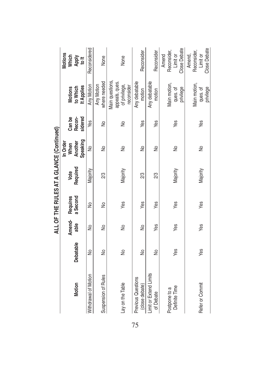|                                      |           |        |          | ALL OF THE RULES AT A GLANCE (Continued) |          |         |                                                                  |                                                          |
|--------------------------------------|-----------|--------|----------|------------------------------------------|----------|---------|------------------------------------------------------------------|----------------------------------------------------------|
|                                      |           |        |          |                                          | In Order |         |                                                                  | Motions                                                  |
|                                      |           | Amend- | Requires | Vote                                     | When     | Can be  | <b>Motions</b>                                                   |                                                          |
| Motion                               | Debatable | able   | a Second | Required                                 | Another  | Recon-  | to Which                                                         | Which<br>Aph<br>to <sup>tt</sup>                         |
|                                      |           |        |          |                                          | Speaking | sidered | It Applies                                                       |                                                          |
| <b>Withdrawal of Motion</b>          | ş         | ş      | ş        | Majority                                 | ş        | Yes     | Any Motion                                                       | Reconsidered                                             |
| Suspension of Rules                  | ş         | ş      | ş        | 2/3                                      | ş        | ş       | where needed<br>Any Motion                                       | None                                                     |
| Lay on the Table                     | ş         | $\geq$ | Yes      | Majority                                 | $\geq$   | ş       | Main questions,<br>appeals, ques.<br>of privilege,<br>reconsider | None                                                     |
| Previous Questions<br>(close debate) | ş         | ş      | Yes      | 23                                       | ş        | Yes     | Any debatable<br>motion                                          | Reconsider                                               |
| Limit or Extend Limits<br>of Debate  | ş         | Yes    | Yes      | 23                                       | ş        | Yes     | Any debatable<br>motion                                          | Reconsider                                               |
| Definite Time<br>Postpone to a       | Yes       | Yes    | Yes      | Majority                                 | ş        | Yes     | Main motion,<br>privilege<br>ques. of                            | <b>Close Debate</b><br>Reconsider,<br>Amend<br>Limit or  |
| Refer or Commit                      | Yes       | Yes    | Yes      | Majority                                 | ş        | Yes     | Main motion,<br>privilege<br>ques. of                            | <b>Close Debate</b><br>Reconsider,<br>Amend,<br>Limit or |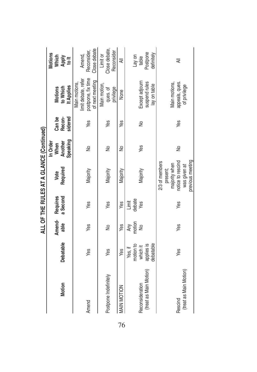|                        |            |               |          | ALL OF THE RULES AT A GLANCE (Continued) |          |         |                     |                        |
|------------------------|------------|---------------|----------|------------------------------------------|----------|---------|---------------------|------------------------|
|                        |            |               |          |                                          | In Order |         |                     | Motions                |
|                        |            | Amend-        | Requires | Vote                                     | When     | Can be  | Motions             | Which<br>Aphy<br>to It |
| Motion                 | Debatable  | able          | a Second | Required                                 | Another  | Recon-  | to Which            |                        |
|                        |            |               |          |                                          | Speaking | sidered | It Applies          |                        |
|                        |            |               |          |                                          |          |         | Main motions,       |                        |
|                        |            |               |          |                                          |          |         | limit debate, refer | Amend,                 |
| Amend                  | Yes        | Yes           | Yes      | Majority                                 | ş        | Yes     | postpone, fix time  | Reconsider             |
|                        |            |               |          |                                          |          |         | of next meeting     | Close debate           |
|                        |            |               |          |                                          |          |         | Main motion,        | Limit or               |
| Postpone Indefinitely  | Yes        | ş             | Yes      | Majority                                 | ş        | Yes     | ques. of            | Close debate,          |
|                        |            |               |          |                                          |          |         | privilege           | Reconsider             |
| MAIN MOTION            | Yes        | Yes           | Yes      | Majority                                 | ş        | Yes     | None                | ₹                      |
|                        | Yes, if    |               | Limit    |                                          |          |         |                     |                        |
|                        | motion to  | Any<br>motion | debate   |                                          |          |         |                     | Lay on                 |
| Reconsideration        | which it   | $\frac{1}{2}$ | Yes      | Majority                                 | Yes      | ş       | Except adjourn      | table                  |
| (treat as Main Motion) | applies is |               |          |                                          |          |         | suspend rules       | Postpone               |
|                        | debatable  |               |          |                                          |          |         | lay on table        | definitely             |
|                        |            |               |          | 2/3 of members                           |          |         |                     |                        |
|                        |            |               |          | present;                                 |          |         |                     |                        |
|                        |            |               |          | majority when                            |          |         | Main motions,       |                        |
| Rescind                | Yes        | Yes           | Yes      | notice to rescind                        | ş        | Yes     | appeals, ques.      | ₹                      |
| (treat as Main Motion) |            |               |          | was given at                             |          |         | of privilege        |                        |
|                        |            |               |          | previous meeting                         |          |         |                     |                        |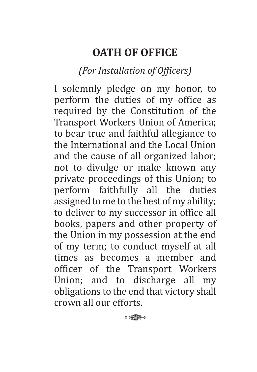# **OATH OF OFFICE**

## *(For Installation of Officers)*

I solemnly pledge on my honor, to perform the duties of my office as required by the Constitution of the Transport Workers Union of America; to bear true and faithful allegiance to the International and the Local Union and the cause of all organized labor; not to divulge or make known any private proceedings of this Union; to perform faithfully all the duties assigned to me to the best of my ability; to deliver to my successor in office all books, papers and other property of the Union in my possession at the end of my term; to conduct myself at all times as becomes a member and officer of the Transport Workers Union; and to discharge all my obligations to the end that victory shall crown all our efforts.